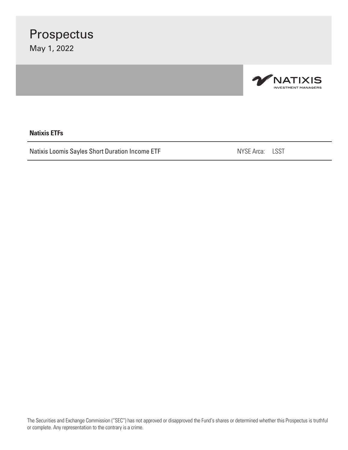

#### **Natixis ETFs**

Natixis Loomis Sayles Short Duration Income ETF NATION NETS NYSE Arca: LSST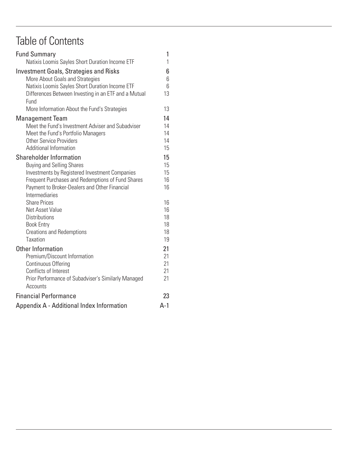### Table of Contents

| <b>Fund Summary</b>                                                                                                                 | 1           |
|-------------------------------------------------------------------------------------------------------------------------------------|-------------|
| Natixis Loomis Sayles Short Duration Income ETF                                                                                     | 1           |
| <b>Investment Goals, Strategies and Risks</b><br>More About Goals and Strategies<br>Natixis Loomis Sayles Short Duration Income ETF | 6<br>6<br>6 |
| Differences Between Investing in an ETF and a Mutual<br>Fund                                                                        | 13          |
| More Information About the Fund's Strategies                                                                                        | 13          |
| <b>Management Team</b>                                                                                                              | 14          |
| Meet the Fund's Investment Adviser and Subadviser                                                                                   | 14          |
| Meet the Fund's Portfolio Managers<br><b>Other Service Providers</b>                                                                | 14<br>14    |
| <b>Additional Information</b>                                                                                                       | 15          |
| <b>Shareholder Information</b>                                                                                                      | 15          |
| <b>Buying and Selling Shares</b>                                                                                                    | 15          |
| Investments by Registered Investment Companies                                                                                      | 15          |
| Frequent Purchases and Redemptions of Fund Shares                                                                                   | 16          |
| Payment to Broker-Dealers and Other Financial<br><b>Intermediaries</b>                                                              | 16          |
| <b>Share Prices</b>                                                                                                                 | 16          |
| Net Asset Value                                                                                                                     | 16          |
| <b>Distributions</b>                                                                                                                | 18          |
| <b>Book Entry</b>                                                                                                                   | 18          |
| <b>Creations and Redemptions</b>                                                                                                    | 18          |
| <b>Taxation</b>                                                                                                                     | 19          |
| Other Information                                                                                                                   | 21          |
| Premium/Discount Information                                                                                                        | 21          |
| <b>Continuous Offering</b><br>Conflicts of Interest                                                                                 | 21<br>21    |
| Prior Performance of Subadviser's Similarly Managed                                                                                 | 21          |
| Accounts                                                                                                                            |             |
| <b>Financial Performance</b>                                                                                                        | 23          |
| Appendix A - Additional Index Information                                                                                           | $A-1$       |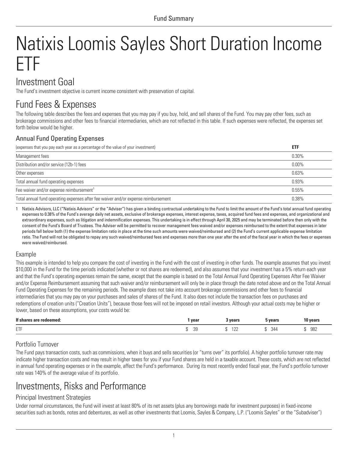# <span id="page-2-0"></span>Natixis Loomis Sayles Short Duration Income ETF

### Investment Goal

The Fund's investment objective is current income consistent with preservation of capital.

### Fund Fees & Expenses

The following table describes the fees and expenses that you may pay if you buy, hold, and sell shares of the Fund. You may pay other fees, such as brokerage commissions and other fees to financial intermediaries, which are not reflected in this table. If such expenses were reflected, the expenses set forth below would be higher.

#### Annual Fund Operating Expenses

| (expenses that you pay each year as a percentage of the value of your investment)  | <b>ETF</b> |
|------------------------------------------------------------------------------------|------------|
| Management fees                                                                    | $0.30\%$   |
| Distribution and/or service (12b-1) fees                                           | $0.00\%$   |
| Other expenses                                                                     | 0.63%      |
| Total annual fund operating expenses                                               | 0.93%      |
| Fee waiver and/or expense reimbursement <sup>1</sup>                               | 0.55%      |
| Total annual fund operating expenses after fee waiver and/or expense reimbursement | 0.38%      |

1 Natixis Advisors, LLC ("Natixis Advisors" or the "Adviser") has given a binding contractual undertaking to the Fund to limit the amount of the Fund's total annual fund operating expenses to 0.38% of the Fund's average daily net assets, exclusive of brokerage expenses, interest expense, taxes, acquired fund fees and expenses, and organizational and extraordinary expenses, such as litigation and indemnification expenses. This undertaking is in effect through April 30, 2025 and may be terminated before then only with the consent of the Fund's Board of Trustees. The Adviser will be permitted to recover management fees waived and/or expenses reimbursed to the extent that expenses in later periods fall below both (1) the expense limitation ratio in place at the time such amounts were waived/reimbursed and (2) the Fund's current applicable expense limitation ratio. The Fund will not be obligated to repay any such waived/reimbursed fees and expenses more than one year after the end of the fiscal year in which the fees or expenses were waived/reimbursed.

#### Example

This example is intended to help you compare the cost of investing in the Fund with the cost of investing in other funds. The example assumes that you invest \$10,000 in the Fund for the time periods indicated (whether or not shares are redeemed), and also assumes that your investment has a 5% return each year and that the Fund's operating expenses remain the same, except that the example is based on the Total Annual Fund Operating Expenses After Fee Waiver and/or Expense Reimbursement assuming that such waiver and/or reimbursement will only be in place through the date noted above and on the Total Annual Fund Operating Expenses for the remaining periods. The example does not take into account brokerage commissions and other fees to financial intermediaries that you may pay on your purchases and sales of shares of the Fund. It also does not include the transaction fees on purchases and redemptions of creation units ("Creation Units"), because those fees will not be imposed on retail investors. Although your actual costs may be higher or lower, based on these assumptions, your costs would be:

| If che<br>edeemed: | year          | <b>UQQre</b><br>сагэ<br>$  -$ | years | 10 years    |
|--------------------|---------------|-------------------------------|-------|-------------|
| ETF                | $\cap$<br>ت ک | $\Delta$<br>$-L$              | 344   | 982<br>$ -$ |

#### Portfolio Turnover

The Fund pays transaction costs, such as commissions, when it buys and sells securities (or "turns over" its portfolio). A higher portfolio turnover rate may indicate higher transaction costs and may result in higher taxes for you if your Fund shares are held in a taxable account. These costs, which are not reflected in annual fund operating expenses or in the example, affect the Fund's performance. During its most recently ended fiscal year, the Fund's portfolio turnover rate was 140% of the average value of its portfolio.

### Investments, Risks and Performance

#### Principal Investment Strategies

Under normal circumstances, the Fund will invest at least 80% of its net assets (plus any borrowings made for investment purposes) in fixed-income securities such as bonds, notes and debentures, as well as other investments that Loomis, Sayles & Company, L.P. ("Loomis Sayles" or the "Subadviser")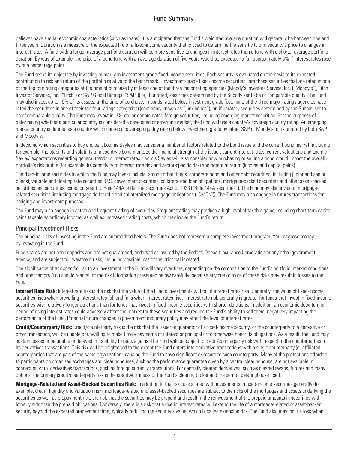believes have similar economic characteristics (such as loans). It is anticipated that the Fund's weighted average duration will generally be between one and three years. Duration is a measure of the expected life of a fixed-income security that is used to determine the sensitivity of a security's price to changes in interest rates. A fund with a longer average portfolio duration will be more sensitive to changes in interest rates than a fund with a shorter average portfolio duration. By way of example, the price of a bond fund with an average duration of five years would be expected to fall approximately 5% if interest rates rose by one percentage point.

The Fund seeks its objective by investing primarily in investment-grade fixed-income securities. Each security is evaluated on the basis of its expected contribution to risk and return of the portfolio relative to the benchmark. "Investment-grade fixed-income securities" are those securities that are rated in one of the top four rating categories at the time of purchase by at least one of the three major rating agencies (Moody's Investors Service, Inc. ("Moody's"), Fitch Investor Services, Inc. ("Fitch") or S&P Global Ratings ("S&P")) or, if unrated, securities determined by the Subadviser to be of comparable quality. The Fund may also invest up to 15% of its assets, at the time of purchase, in bonds rated below investment grade (i.e., none of the three major ratings agencies have rated the securities in one of their top four ratings categories) (commonly known as "junk bonds"), or, if unrated, securities determined by the Subadviser to be of comparable quality. The Fund may invest in U.S. dollar-denominated foreign securities, including emerging market securities. For the purposes of determining whether a particular country is considered a developed or emerging market, the Fund will use a country's sovereign quality rating. An emerging market country is defined as a country which carries a sovereign quality rating below investment grade by either S&P or Moody's, or is unrated by both S&P and Moody's.

In deciding which securities to buy and sell, Loomis Sayles may consider a number of factors related to the bond issue and the current bond market, including for example, the stability and volatility of a country's bond markets, the financial strength of the issuer, current interest rates, current valuations and Loomis Sayles' expectations regarding general trends in interest rates. Loomis Sayles will also consider how purchasing or selling a bond would impact the overall portfolio's risk profile (for example, its sensitivity to interest rate risk and sector-specific risk) and potential return (income and capital gains).

The fixed-income securities in which the Fund may invest include, among other things, corporate bond and other debt securities (including junior and senior bonds), variable and floating rate securities, U.S. government securities, collateralized loan obligations, mortgage-backed securities and other asset-backed securities and securities issued pursuant to Rule 144A under the Securities Act of 1933 ("Rule 144A securities"). The Fund may also invest in mortgagerelated securities (including mortgage dollar rolls and collateralized mortgage obligations ("CMOs")). The Fund may also engage in futures transactions for hedging and investment purposes.

The Fund may also engage in active and frequent trading of securities. Frequent trading may produce a high level of taxable gains, including short-term capital gains taxable as ordinary income, as well as increased trading costs, which may lower the Fund's return.

#### Principal Investment Risks

The principal risks of investing in the Fund are summarized below. The Fund does not represent a complete investment program. You may lose money by investing in the Fund.

Fund shares are not bank deposits and are not guaranteed, endorsed or insured by the Federal Deposit Insurance Corporation or any other government agency, and are subject to investment risks, including possible loss of the principal invested.

The significance of any specific risk to an investment in the Fund will vary over time, depending on the composition of the Fund's portfolio, market conditions, and other factors. You should read all of the risk information presented below carefully, because any one or more of these risks may result in losses to the Fund.

Interest Rate Risk: Interest rate risk is the risk that the value of the Fund's investments will fall if interest rates rise. Generally, the value of fixed-income securities rises when prevailing interest rates fall and falls when interest rates rise. Interest rate risk generally is greater for funds that invest in fixed-income securities with relatively longer durations than for funds that invest in fixed-income securities with shorter durations. In addition, an economic downturn or period of rising interest rates could adversely affect the market for these securities and reduce the Fund's ability to sell them, negatively impacting the performance of the Fund. Potential future changes in government monetary policy may affect the level of interest rates.

**Credit/Counterparty Risk:** Credit/counterparty risk is the risk that the issuer or guarantor of a fixed-income security, or the counterparty to a derivative or other transaction, will be unable or unwilling to make timely payments of interest or principal or to otherwise honor its obligations. As a result, the Fund may sustain losses or be unable or delayed in its ability to realize gains. The Fund will be subject to credit/counterparty risk with respect to the counterparties to its derivatives transactions. This risk will be heightened to the extent the Fund enters into derivative transactions with a single counterparty (or affiliated counterparties that are part of the same organization), causing the Fund to have significant exposure to such counterparty. Many of the protections afforded to participants on organized exchanges and clearinghouses, such as the performance guarantee given by a central clearinghouse, are not available in connection with derivatives transactions, such as foreign currency transactions. For centrally cleared derivatives, such as cleared swaps, futures and many options, the primary credit/counterparty risk is the creditworthiness of the Fund's clearing broker and the central clearinghouse itself.

**Mortgage-Related and Asset-Backed Securities Risk:** In addition to the risks associated with investments in fixed-income securities generally (for example, credit, liquidity and valuation risk), mortgage-related and asset-backed securities are subject to the risks of the mortgages and assets underlying the securities as well as prepayment risk, the risk that the securities may be prepaid and result in the reinvestment of the prepaid amounts in securities with lower yields than the prepaid obligations. Conversely, there is a risk that a rise in interest rates will extend the life of a mortgage-related or asset-backed security beyond the expected prepayment time, typically reducing the security's value, which is called extension risk. The Fund also may incur a loss when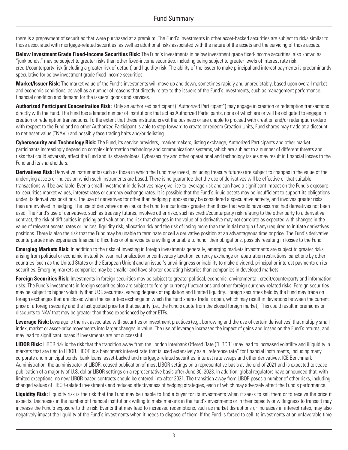there is a prepayment of securities that were purchased at a premium. The Fund's investments in other asset-backed securities are subject to risks similar to those associated with mortgage-related securities, as well as additional risks associated with the nature of the assets and the servicing of those assets.

**Below Investment Grade Fixed-Income Securities Risk:** The Fund's investments in below investment grade fixed-income securities, also known as "junk bonds," may be subject to greater risks than other fixed-income securities, including being subject to greater levels of interest rate risk, credit/counterparty risk (including a greater risk of default) and liquidity risk. The ability of the issuer to make principal and interest payments is predominantly speculative for below investment grade fixed-income securities.

**Market/Issuer Risk:** The market value of the Fund's investments will move up and down, sometimes rapidly and unpredictably, based upon overall market and economic conditions, as well as a number of reasons that directly relate to the issuers of the Fund's investments, such as management performance, financial condition and demand for the issuers' goods and services.

**Authorized Participant Concentration Risk:** Only an authorized participant ("Authorized Participant") may engage in creation or redemption transactions directly with the Fund. The Fund has a limited number of institutions that act as Authorized Participants, none of which are or will be obligated to engage in creation or redemption transactions. To the extent that these institutions exit the business or are unable to proceed with creation and/or redemption orders with respect to the Fund and no other Authorized Participant is able to step forward to create or redeem Creation Units, Fund shares may trade at a discount to net asset value ("NAV") and possibly face trading halts and/or delisting.

**Cybersecurity and Technology Risk:** The Fund, its service providers, market makers, listing exchange, Authorized Participants and other market participants increasingly depend on complex information technology and communications systems, which are subject to a number of different threats and risks that could adversely affect the Fund and its shareholders. Cybersecurity and other operational and technology issues may result in financial losses to the Fund and its shareholders.

**Derivatives Risk:** Derivative instruments (such as those in which the Fund may invest, including treasury futures) are subject to changes in the value of the underlying assets or indices on which such instruments are based. There is no guarantee that the use of derivatives will be effective or that suitable transactions will be available. Even a small investment in derivatives may give rise to leverage risk and can have a significant impact on the Fund's exposure to securities market values, interest rates or currency exchange rates. It is possible that the Fund's liquid assets may be insufficient to support its obligations under its derivatives positions. The use of derivatives for other than hedging purposes may be considered a speculative activity, and involves greater risks than are involved in hedging. The use of derivatives may cause the Fund to incur losses greater than those that would have occurred had derivatives not been used. The Fund's use of derivatives, such as treasury futures, involves other risks, such as credit/counterparty risk relating to the other party to a derivative contract, the risk of difficulties in pricing and valuation, the risk that changes in the value of a derivative may not correlate as expected with changes in the value of relevant assets, rates or indices, liquidity risk, allocation risk and the risk of losing more than the initial margin (if any) required to initiate derivatives positions. There is also the risk that the Fund may be unable to terminate or sell a derivative position at an advantageous time or price. The Fund's derivative counterparties may experience financial difficulties or otherwise be unwilling or unable to honor their obligations, possibly resulting in losses to the Fund.

**Emerging Markets Risk:** In addition to the risks of investing in foreign investments generally, emerging markets investments are subject to greater risks arising from political or economic instability, war, nationalization or confiscatory taxation, currency exchange or repatriation restrictions, sanctions by other countries (such as the United States or the European Union) and an issuer's unwillingness or inability to make dividend, principal or interest payments on its securities. Emerging markets companies may be smaller and have shorter operating histories than companies in developed markets.

**Foreign Securities Risk:** Investments in foreign securities may be subject to greater political, economic, environmental, credit/counterparty and information risks. The Fund's investments in foreign securities also are subject to foreign currency fluctuations and other foreign currency-related risks. Foreign securities may be subject to higher volatility than U.S. securities, varying degrees of regulation and limited liquidity. Foreign securities held by the Fund may trade on foreign exchanges that are closed when the securities exchange on which the Fund shares trade is open, which may result in deviations between the current price of a foreign security and the last quoted price for that security (i.e., the Fund's quote from the closed foreign market). This could result in premiums or discounts to NAV that may be greater than those experienced by other ETFs.

Leverage Risk: Leverage is the risk associated with securities or investment practices (e.g., borrowing and the use of certain derivatives) that multiply small index, market or asset-price movements into larger changes in value. The use of leverage increases the impact of gains and losses on the Fund's returns, and may lead to significant losses if investments are not successful.

**LIBOR Risk:** LIBOR risk is the risk that the transition away from the London Interbank Offered Rate ("LIBOR") may lead to increased volatility and illiquidity in markets that are tied to LIBOR. LIBOR is a benchmark interest rate that is used extensively as a "reference rate" for financial instruments, including many corporate and municipal bonds, bank loans, asset-backed and mortgage-related securities, interest rate swaps and other derivatives. ICE Benchmark Administration, the administrator of LIBOR, ceased publication of most LIBOR settings on a representative basis at the end of 2021 and is expected to cease publication of a majority of U.S. dollar LIBOR settings on a representative basis after June 30, 2023. In addition, global regulators have announced that, with limited exceptions, no new LIBOR-based contracts should be entered into after 2021. The transition away from LIBOR poses a number of other risks, including changed values of LIBOR-related investments and reduced effectiveness of hedging strategies, each of which may adversely affect the Fund's performance.

Liquidity Risk: Liquidity risk is the risk that the Fund may be unable to find a buyer for its investments when it seeks to sell them or to receive the price it expects. Decreases in the number of financial institutions willing to make markets in the Fund's investments or in their capacity or willingness to transact may increase the Fund's exposure to this risk. Events that may lead to increased redemptions, such as market disruptions or increases in interest rates, may also negatively impact the liquidity of the Fund's investments when it needs to dispose of them. If the Fund is forced to sell its investments at an unfavorable time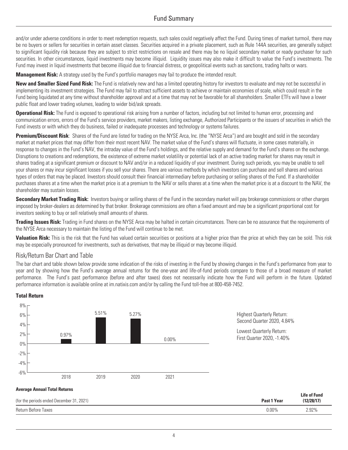and/or under adverse conditions in order to meet redemption requests, such sales could negatively affect the Fund. During times of market turmoil, there may be no buyers or sellers for securities in certain asset classes. Securities acquired in a private placement, such as Rule 144A securities, are generally subject to significant liquidity risk because they are subject to strict restrictions on resale and there may be no liquid secondary market or ready purchaser for such securities. In other circumstances, liquid investments may become illiquid. Liquidity issues may also make it difficult to value the Fund's investments. The Fund may invest in liquid investments that become illiquid due to financial distress, or geopolitical events such as sanctions, trading halts or wars.

**Management Risk:** A strategy used by the Fund's portfolio managers may fail to produce the intended result.

**New and Smaller Sized Fund Risk:** The Fund is relatively new and has a limited operating history for investors to evaluate and may not be successful in implementing its investment strategies. The Fund may fail to attract sufficient assets to achieve or maintain economies of scale, which could result in the Fund being liquidated at any time without shareholder approval and at a time that may not be favorable for all shareholders. Smaller ETFs will have a lower public float and lower trading volumes, leading to wider bid/ask spreads.

**Operational Risk:** The Fund is exposed to operational risk arising from a number of factors, including but not limited to human error, processing and communication errors, errors of the Fund's service providers, market makers, listing exchange, Authorized Participants or the issuers of securities in which the Fund invests or with which they do business, failed or inadequate processes and technology or systems failures.

**Premium/Discount Risk**: Shares of the Fund are listed for trading on the NYSE Arca, Inc. (the "NYSE Arca") and are bought and sold in the secondary market at market prices that may differ from their most recent NAV. The market value of the Fund's shares will fluctuate, in some cases materially, in response to changes in the Fund's NAV, the intraday value of the Fund's holdings, and the relative supply and demand for the Fund's shares on the exchange. Disruptions to creations and redemptions, the existence of extreme market volatility or potential lack of an active trading market for shares may result in shares trading at a significant premium or discount to NAV and/or in a reduced liquidity of your investment. During such periods, you may be unable to sell your shares or may incur significant losses if you sell your shares. There are various methods by which investors can purchase and sell shares and various types of orders that may be placed. Investors should consult their financial intermediary before purchasing or selling shares of the Fund. If a shareholder purchases shares at a time when the market price is at a premium to the NAV or sells shares at a time when the market price is at a discount to the NAV, the shareholder may sustain losses.

**Secondary Market Trading Risk:** Investors buying or selling shares of the Fund in the secondary market will pay brokerage commissions or other charges imposed by broker-dealers as determined by that broker. Brokerage commissions are often a fixed amount and may be a significant proportional cost for investors seeking to buy or sell relatively small amounts of shares.

**Trading Issues Risk:** Trading in Fund shares on the NYSE Arca may be halted in certain circumstances. There can be no assurance that the requirements of the NYSE Arca necessary to maintain the listing of the Fund will continue to be met.

**Valuation Risk:** This is the risk that the Fund has valued certain securities or positions at a higher price than the price at which they can be sold. This risk may be especially pronounced for investments, such as derivatives, that may be illiquid or may become illiquid.

#### Risk/Return Bar Chart and Table

The bar chart and table shown below provide some indication of the risks of investing in the Fund by showing changes in the Fund's performance from year to year and by showing how the Fund's average annual returns for the one-year and life-of-fund periods compare to those of a broad measure of market performance. The Fund's past performance (before and after taxes) does not necessarily indicate how the Fund will perform in the future. Updated performance information is available online at im.natixis.com and/or by calling the Fund toll-free at 800-458-7452.

#### **Total Return**



Return Before Taxes 0.00% 2.92%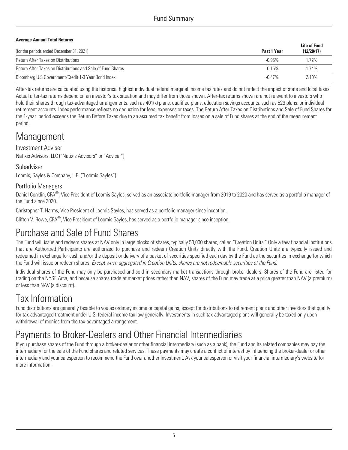#### **Average Annual Total Returns**

| (for the periods ended December 31, 2021)                   | Past 1 Year | <b>Life of Fund</b><br>(12/28/17) |  |
|-------------------------------------------------------------|-------------|-----------------------------------|--|
| <b>Return After Taxes on Distributions</b>                  | $-0.95\%$   | $.72\%$                           |  |
| Return After Taxes on Distributions and Sale of Fund Shares | 0.15%       | $174\%$                           |  |
| Bloomberg U.S Government/Credit 1-3 Year Bond Index         | $-0.47\%$   | 2.10%                             |  |

After-tax returns are calculated using the historical highest individual federal marginal income tax rates and do not reflect the impact of state and local taxes. Actual after-tax returns depend on an investor's tax situation and may differ from those shown. After-tax returns shown are not relevant to investors who hold their shares through tax-advantaged arrangements, such as 401(k) plans, qualified plans, education savings accounts, such as 529 plans, or individual retirement accounts. Index performance reflects no deduction for fees, expenses or taxes. The Return After Taxes on Distributions and Sale of Fund Shares for the 1-year period exceeds the Return Before Taxes due to an assumed tax benefit from losses on a sale of Fund shares at the end of the measurement period.

### **Management**

#### Investment Adviser

Natixis Advisors, LLC ("Natixis Advisors" or "Adviser")

#### Subadviser

Loomis, Sayles & Company, L.P. ("Loomis Sayles")

#### Portfolio Managers

Daniel Conklin, CFA®, Vice President of Loomis Sayles, served as an associate portfolio manager from 2019 to 2020 and has served as a portfolio manager of the Fund since 2020.

Christopher T. Harms, Vice President of Loomis Sayles, has served as a portfolio manager since inception.

Clifton V. Rowe, CFA®, Vice President of Loomis Sayles, has served as a portfolio manager since inception.

### Purchase and Sale of Fund Shares

The Fund will issue and redeem shares at NAV only in large blocks of shares, typically 50,000 shares, called "Creation Units." Only a few financial institutions that are Authorized Participants are authorized to purchase and redeem Creation Units directly with the Fund. Creation Units are typically issued and redeemed in exchange for cash and/or the deposit or delivery of a basket of securities specified each day by the Fund as the securities in exchange for which the Fund will issue or redeem shares. *Except when aggregated in Creation Units, shares are not redeemable securities of the Fund*.

Individual shares of the Fund may only be purchased and sold in secondary market transactions through broker-dealers. Shares of the Fund are listed for trading on the NYSE Arca, and because shares trade at market prices rather than NAV, shares of the Fund may trade at a price greater than NAV (a premium) or less than NAV (a discount).

### Tax Information

Fund distributions are generally taxable to you as ordinary income or capital gains, except for distributions to retirement plans and other investors that qualify for tax-advantaged treatment under U.S. federal income tax law generally. Investments in such tax-advantaged plans will generally be taxed only upon withdrawal of monies from the tax-advantaged arrangement.

### Payments to Broker-Dealers and Other Financial Intermediaries

If you purchase shares of the Fund through a broker-dealer or other financial intermediary (such as a bank), the Fund and its related companies may pay the intermediary for the sale of the Fund shares and related services. These payments may create a conflict of interest by influencing the broker-dealer or other intermediary and your salesperson to recommend the Fund over another investment. Ask your salesperson or visit your financial intermediary's website for more information.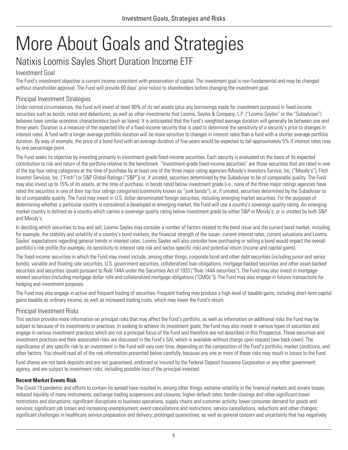# <span id="page-7-0"></span>More About Goals and Strategies

### <span id="page-7-1"></span>Natixis Loomis Sayles Short Duration Income ETF

#### Investment Goal

The Fund's investment objective is current income consistent with preservation of capital. The investment goal is non-fundamental and may be changed without shareholder approval. The Fund will provide 60 days' prior notice to shareholders before changing the investment goal.

#### Principal Investment Strategies

Under normal circumstances, the Fund will invest at least 80% of its net assets (plus any borrowings made for investment purposes) in fixed-income securities such as bonds, notes and debentures, as well as other investments that Loomis, Sayles & Company, L.P. ("Loomis Sayles" or the "Subadviser") believes have similar economic characteristics (such as loans). It is anticipated that the Fund's weighted average duration will generally be between one and three years. Duration is a measure of the expected life of a fixed-income security that is used to determine the sensitivity of a security's price to changes in interest rates. A fund with a longer average portfolio duration will be more sensitive to changes in interest rates than a fund with a shorter average portfolio duration. By way of example, the price of a bond fund with an average duration of five years would be expected to fall approximately 5% if interest rates rose by one percentage point.

The Fund seeks its objective by investing primarily in investment-grade fixed-income securities. Each security is evaluated on the basis of its expected contribution to risk and return of the portfolio relative to the benchmark. "Investment-grade fixed-income securities" are those securities that are rated in one of the top four rating categories at the time of purchase by at least one of the three major rating agencies (Moody's Investors Service, Inc. ("Moody's"), Fitch Investor Services, Inc. ("Fitch") or S&P Global Ratings ("S&P")) or, if unrated, securities determined by the Subadviser to be of comparable quality. The Fund may also invest up to 15% of its assets, at the time of purchase, in bonds rated below investment grade (i.e., none of the three major ratings agencies have rated the securities in one of their top four ratings categories) (commonly known as "junk bonds"), or, if unrated, securities determined by the Subadviser to be of comparable quality. The Fund may invest in U.S. dollar-denominated foreign securities, including emerging market securities. For the purposes of determining whether a particular country is considered a developed or emerging market, the Fund will use a country's sovereign quality rating. An emerging market country is defined as a country which carries a sovereign quality rating below investment grade by either S&P or Moody's, or is unrated by both S&P and Moody's.

In deciding which securities to buy and sell, Loomis Sayles may consider a number of factors related to the bond issue and the current bond market, including for example, the stability and volatility of a country's bond markets, the financial strength of the issuer, current interest rates, current valuations and Loomis Sayles' expectations regarding general trends in interest rates. Loomis Sayles will also consider how purchasing or selling a bond would impact the overall portfolio's risk profile (for example, its sensitivity to interest rate risk and sector-specific risk) and potential return (income and capital gains).

The fixed-income securities in which the Fund may invest include, among other things, corporate bond and other debt securities (including junior and senior bonds), variable and floating rate securities, U.S. government securities, collateralized loan obligations, mortgage-backed securities and other asset-backed securities and securities issued pursuant to Rule 144A under the Securities Act of 1933 ("Rule 144A securities"). The Fund may also invest in mortgagerelated securities (including mortgage dollar rolls and collateralized mortgage obligations ("CMOs")). The Fund may also engage in futures transactions for hedging and investment purposes.

The Fund may also engage in active and frequent trading of securities. Frequent trading may produce a high level of taxable gains, including short-term capital gains taxable as ordinary income, as well as increased trading costs, which may lower the Fund's return.

#### Principal Investment Risks

This section provides more information on principal risks that may affect the Fund's portfolio, as well as information on additional risks the Fund may be subject to because of its investments or practices. In seeking to achieve its investment goals, the Fund may also invest in various types of securities and engage in various investment practices which are not a principal focus of the Fund and therefore are not described in this Prospectus. These securities and investment practices and their associated risks are discussed in the Fund's SAI, which is available without charge upon request (see back cover). The significance of any specific risk to an investment in the Fund will vary over time, depending on the composition of the Fund's portfolio, market conditions, and other factors. You should read all of the risk information presented below carefully, because any one or more of these risks may result in losses to the Fund.

Fund shares are not bank deposits and are not guaranteed, endorsed or insured by the Federal Deposit Insurance Corporation or any other government agency, and are subject to investment risks, including possible loss of the principal invested.

#### **Recent Market Events Risk**

The Covid-19 pandemic and efforts to contain its spread have resulted in, among other things, extreme volatility in the financial markets and severe losses; reduced liquidity of many instruments; exchange trading suspensions and closures; higher default rates; border closings and other significant travel restrictions and disruptions; significant disruptions to business operations, supply chains and customer activity; lower consumer demand for goods and services; significant job losses and increasing unemployment; event cancellations and restrictions; service cancellations, reductions and other changes; significant challenges in healthcare service preparation and delivery; prolonged quarantines; as well as general concern and uncertainty that has negatively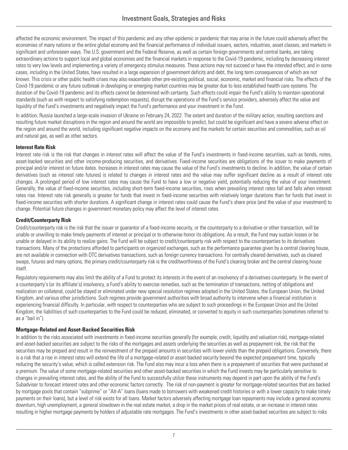affected the economic environment. The impact of this pandemic and any other epidemic or pandemic that may arise in the future could adversely affect the economies of many nations or the entire global economy and the financial performance of individual issuers, sectors, industries, asset classes, and markets in significant and unforeseen ways. The U.S. government and the Federal Reserve, as well as certain foreign governments and central banks, are taking extraordinary actions to support local and global economies and the financial markets in response to the Covid-19 pandemic, including by decreasing interest rates to very low levels and implementing a variety of emergency stimulus measures. These actions may not succeed or have the intended effect, and in some cases, including in the United States, have resulted in a large expansion of government deficits and debt, the long term consequences of which are not known. This crisis or other public health crises may also exacerbate other pre-existing political, social, economic, market and financial risks. The effects of the Covid-19 pandemic or any future outbreak in developing or emerging market countries may be greater due to less established health care systems. The duration of the Covid-19 pandemic and its effects cannot be determined with certainty. Such effects could impair the Fund's ability to maintain operational standards (such as with respect to satisfying redemption requests), disrupt the operations of the Fund's service providers, adversely affect the value and liquidity of the Fund's investments and negatively impact the Fund's performance and your investment in the Fund.

In addition, Russia launched a large-scale invasion of Ukraine on February 24, 2022. The extent and duration of the military action, resulting sanctions and resulting future market disruptions in the region and around the world are impossible to predict, but could be significant and have a severe adverse effect on the region and around the world, including significant negative impacts on the economy and the markets for certain securities and commodities, such as oil and natural gas, as well as other sectors.

#### **Interest Rate Risk**

Interest rate risk is the risk that changes in interest rates will affect the value of the Fund's investments in fixed-income securities, such as bonds, notes, asset-backed securities and other income-producing securities, and derivatives. Fixed-income securities are obligations of the issuer to make payments of principal and/or interest on future dates. Increases in interest rates may cause the value of the Fund's investments to decline. In addition, the value of certain derivatives (such as interest rate futures) is related to changes in interest rates and the value may suffer significant decline as a result of interest rate changes. A prolonged period of low interest rates may cause the Fund to have a low or negative yield, potentially reducing the value of your investment. Generally, the value of fixed-income securities, including short-term fixed-income securities, rises when prevailing interest rates fall and falls when interest rates rise. Interest rate risk generally is greater for funds that invest in fixed-income securities with relatively longer durations than for funds that invest in fixed-income securities with shorter durations. A significant change in interest rates could cause the Fund's share price (and the value of your investment) to change. Potential future changes in government monetary policy may affect the level of interest rates.

#### **Credit/Counterparty Risk**

Credit/counterparty risk is the risk that the issuer or guarantor of a fixed-income security, or the counterparty to a derivative or other transaction, will be unable or unwilling to make timely payments of interest or principal or to otherwise honor its obligations. As a result, the Fund may sustain losses or be unable or delayed in its ability to realize gains. The Fund will be subject to credit/counterparty risk with respect to the counterparties to its derivatives transactions. Many of the protections afforded to participants on organized exchanges, such as the performance guarantee given by a central clearing house, are not available in connection with OTC derivatives transactions, such as foreign currency transactions. For centrally cleared derivatives, such as cleared swaps, futures and many options, the primary credit/counterparty risk is the creditworthiness of the Fund's clearing broker and the central clearing house itself.

Regulatory requirements may also limit the ability of a Fund to protect its interests in the event of an insolvency of a derivatives counterparty. In the event of a counterparty's (or its affiliate's) insolvency, a Fund's ability to exercise remedies, such as the termination of transactions, netting of obligations and realization on collateral, could be stayed or eliminated under new special resolution regimes adopted in the United States, the European Union, the United Kingdom, and various other jurisdictions. Such regimes provide government authorities with broad authority to intervene when a financial institution is experiencing financial difficulty. In particular, with respect to counterparties who are subject to such proceedings in the European Union and the United Kingdom, the liabilities of such counterparties to the Fund could be reduced, eliminated, or converted to equity in such counterparties (sometimes referred to as a "bail in").

#### **Mortgage-Related and Asset-Backed Securities Risk**

In addition to the risks associated with investments in fixed-income securities generally (for example, credit, liquidity and valuation risk), mortgage-related and asset-backed securities are subject to the risks of the mortgages and assets underlying the securities as well as prepayment risk, the risk that the securities may be prepaid and result in the reinvestment of the prepaid amounts in securities with lower yields than the prepaid obligations. Conversely, there is a risk that a rise in interest rates will extend the life of a mortgage-related or asset-backed security beyond the expected prepayment time, typically reducing the security's value, which is called extension risk. The Fund also may incur a loss when there is a prepayment of securities that were purchased at a premium. The value of some mortgage-related securities and other asset-backed securities in which the Fund invests may be particularly sensitive to changes in prevailing interest rates, and the ability of the Fund to successfully utilize these instruments may depend in part upon the ability of the Fund's Subadviser to forecast interest rates and other economic factors correctly. The risk of non-payment is greater for mortgage-related securities that are backed by mortgage pools that contain "subprime" or "Alt-A" loans (loans made to borrowers with weakened credit histories or with a lower capacity to make timely payments on their loans), but a level of risk exists for all loans. Market factors adversely affecting mortgage loan repayments may include a general economic downturn, high unemployment, a general slowdown in the real estate market, a drop in the market prices of real estate, or an increase in interest rates resulting in higher mortgage payments by holders of adjustable rate mortgages. The Fund's investments in other asset-backed securities are subject to risks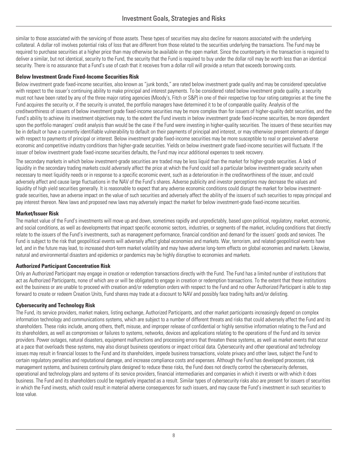similar to those associated with the servicing of those assets. These types of securities may also decline for reasons associated with the underlying collateral. A dollar roll involves potential risks of loss that are different from those related to the securities underlying the transactions. The Fund may be required to purchase securities at a higher price than may otherwise be available on the open market. Since the counterparty in the transaction is required to deliver a similar, but not identical, security to the Fund, the security that the Fund is required to buy under the dollar roll may be worth less than an identical security. There is no assurance that a Fund's use of cash that it receives from a dollar roll will provide a return that exceeds borrowing costs.

#### **Below Investment Grade Fixed-Income Securities Risk**

Below investment grade fixed-income securities, also known as "junk bonds," are rated below investment grade quality and may be considered speculative with respect to the issuer's continuing ability to make principal and interest payments. To be considered rated below investment grade quality, a security must not have been rated by any of the three major rating agencies (Moody's, Fitch or S&P) in one of their respective top four rating categories at the time the Fund acquires the security or, if the security is unrated, the portfolio managers have determined it to be of comparable quality. Analysis of the creditworthiness of issuers of below investment grade fixed-income securities may be more complex than for issuers of higher-quality debt securities, and the Fund's ability to achieve its investment objectives may, to the extent the Fund invests in below investment grade fixed-income securities, be more dependent upon the portfolio managers' credit analysis than would be the case if the Fund were investing in higher-quality securities. The issuers of these securities may be in default or have a currently identifiable vulnerability to default on their payments of principal and interest, or may otherwise present elements of danger with respect to payments of principal or interest. Below investment grade fixed-income securities may be more susceptible to real or perceived adverse economic and competitive industry conditions than higher-grade securities. Yields on below investment grade fixed-income securities will fluctuate. If the issuer of below investment grade fixed-income securities defaults, the Fund may incur additional expenses to seek recovery.

The secondary markets in which below investment-grade securities are traded may be less liquid than the market for higher-grade securities. A lack of liquidity in the secondary trading markets could adversely affect the price at which the Fund could sell a particular below investment-grade security when necessary to meet liquidity needs or in response to a specific economic event, such as a deterioration in the creditworthiness of the issuer, and could adversely affect and cause large fluctuations in the NAV of the Fund's shares. Adverse publicity and investor perceptions may decrease the values and liquidity of high yield securities generally. It is reasonable to expect that any adverse economic conditions could disrupt the market for below investmentgrade securities, have an adverse impact on the value of such securities and adversely affect the ability of the issuers of such securities to repay principal and pay interest thereon. New laws and proposed new laws may adversely impact the market for below investment-grade fixed-income securities.

#### **Market/Issuer Risk**

The market value of the Fund's investments will move up and down, sometimes rapidly and unpredictably, based upon political, regulatory, market, economic, and social conditions, as well as developments that impact specific economic sectors, industries, or segments of the market, including conditions that directly relate to the issuers of the Fund's investments, such as management performance, financial condition and demand for the issuers' goods and services. The Fund is subject to the risk that geopolitical events will adversely affect global economies and markets. War, terrorism, and related geopolitical events have led, and in the future may lead, to increased short-term market volatility and may have adverse long-term effects on global economies and markets. Likewise, natural and environmental disasters and epidemics or pandemics may be highly disruptive to economies and markets.

#### **Authorized Participant Concentration Risk**

Only an Authorized Participant may engage in creation or redemption transactions directly with the Fund. The Fund has a limited number of institutions that act as Authorized Participants, none of which are or will be obligated to engage in creation or redemption transactions. To the extent that these institutions exit the business or are unable to proceed with creation and/or redemption orders with respect to the Fund and no other Authorized Participant is able to step forward to create or redeem Creation Units, Fund shares may trade at a discount to NAV and possibly face trading halts and/or delisting.

#### **Cybersecurity and Technology Risk**

The Fund, its service providers, market makers, listing exchange, Authorized Participants, and other market participants increasingly depend on complex information technology and communications systems, which are subject to a number of different threats and risks that could adversely affect the Fund and its shareholders. These risks include, among others, theft, misuse, and improper release of confidential or highly sensitive information relating to the Fund and its shareholders, as well as compromises or failures to systems, networks, devices and applications relating to the operations of the Fund and its service providers. Power outages, natural disasters, equipment malfunctions and processing errors that threaten these systems, as well as market events that occur at a pace that overloads these systems, may also disrupt business operations or impact critical data. Cybersecurity and other operational and technology issues may result in financial losses to the Fund and its shareholders, impede business transactions, violate privacy and other laws, subject the Fund to certain regulatory penalties and reputational damage, and increase compliance costs and expenses. Although the Fund has developed processes, risk management systems, and business continuity plans designed to reduce these risks, the Fund does not directly control the cybersecurity defenses, operational and technology plans and systems of its service providers, financial intermediaries and companies in which it invests or with which it does business. The Fund and its shareholders could be negatively impacted as a result. Similar types of cybersecurity risks also are present for issuers of securities in which the Fund invests, which could result in material adverse consequences for such issuers, and may cause the Fund's investment in such securities to lose value.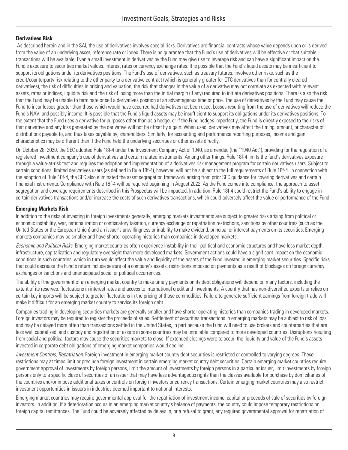#### **Derivatives Risk**

As described herein and in the SAI, the use of derivatives involves special risks. Derivatives are financial contracts whose value depends upon or is derived from the value of an underlying asset, reference rate or index. There is no guarantee that the Fund's use of derivatives will be effective or that suitable transactions will be available. Even a small investment in derivatives by the Fund may give rise to leverage risk and can have a significant impact on the Fund's exposure to securities market values, interest rates or currency exchange rates. It is possible that the Fund's liquid assets may be insufficient to support its obligations under its derivatives positions. The Fund's use of derivatives, such as treasury futures, involves other risks, such as the credit/counterparty risk relating to the other party to a derivative contract (which is generally greater for OTC derivatives than for centrally cleared derivatives), the risk of difficulties in pricing and valuation, the risk that changes in the value of a derivative may not correlate as expected with relevant assets, rates or indices, liquidity risk and the risk of losing more than the initial margin (if any) required to initiate derivatives positions. There is also the risk that the Fund may be unable to terminate or sell a derivatives position at an advantageous time or price. The use of derivatives by the Fund may cause the Fund to incur losses greater than those which would have occurred had derivatives not been used. Losses resulting from the use of derivatives will reduce the Fund's NAV, and possibly income. It is possible that the Fund's liquid assets may be insufficient to support its obligations under its derivatives positions. To the extent that the Fund uses a derivative for purposes other than as a hedge, or if the Fund hedges imperfectly, the Fund is directly exposed to the risks of that derivative and any loss generated by the derivative will not be offset by a gain. When used, derivatives may affect the timing, amount, or character of distributions payable to, and thus taxes payable by, shareholders. Similarly, for accounting and performance reporting purposes, income and gain characteristics may be different than if the Fund held the underlying securities or other assets directly.

On October 28, 2020, the SEC adopted Rule 18f-4 under the Investment Company Act of 1940, as amended (the "1940 Act"), providing for the regulation of a registered investment company's use of derivatives and certain related instruments. Among other things, Rule 18f-4 limits the fund's derivatives exposure through a value-at-risk test and requires the adoption and implementation of a derivatives risk management program for certain derivatives users. Subject to certain conditions, limited derivatives users (as defined in Rule 18f-4), however, will not be subject to the full requirements of Rule 18f-4. In connection with the adoption of Rule 18f-4, the SEC also eliminated the asset segregation framework arising from prior SEC guidance for covering derivatives and certain financial instruments. Compliance with Rule 18f-4 will be required beginning in August 2022. As the Fund comes into compliance, the approach to asset segregation and coverage requirements described in this Prospectus will be impacted. In addition, Rule 18f-4 could restrict the Fund's ability to engage in certain derivatives transactions and/or increase the costs of such derivatives transactions, which could adversely affect the value or performance of the Fund.

#### **Emerging Markets Risk**

In addition to the risks of investing in foreign investments generally, emerging markets investments are subject to greater risks arising from political or economic instability, war, nationalization or confiscatory taxation, currency exchange or repatriation restrictions, sanctions by other countries (such as the United States or the European Union) and an issuer's unwillingness or inability to make dividend, principal or interest payments on its securities. Emerging markets companies may be smaller and have shorter operating histories than companies in developed markets.

*Economic and Political Risks.* Emerging market countries often experience instability in their political and economic structures and have less market depth, infrastructure, capitalization and regulatory oversight than more developed markets. Government actions could have a significant impact on the economic conditions in such countries, which in turn would affect the value and liquidity of the assets of the Fund invested in emerging market securities. Specific risks that could decrease the Fund's return include seizure of a company's assets, restrictions imposed on payments as a result of blockages on foreign currency exchanges or sanctions and unanticipated social or political occurrences.

The ability of the government of an emerging market country to make timely payments on its debt obligations will depend on many factors, including the extent of its reserves, fluctuations in interest rates and access to international credit and investments. A country that has non-diversified exports or relies on certain key imports will be subject to greater fluctuations in the pricing of those commodities. Failure to generate sufficient earnings from foreign trade will make it difficult for an emerging market country to service its foreign debt.

Companies trading in developing securities markets are generally smaller and have shorter operating histories than companies trading in developed markets. Foreign investors may be required to register the proceeds of sales. Settlement of securities transactions in emerging markets may be subject to risk of loss and may be delayed more often than transactions settled in the United States, in part because the Fund will need to use brokers and counterparties that are less well capitalized, and custody and registration of assets in some countries may be unreliable compared to more developed countries. Disruptions resulting from social and political factors may cause the securities markets to close. If extended closings were to occur, the liquidity and value of the Fund's assets invested in corporate debt obligations of emerging market companies would decline.

*Investment Controls; Repatriation.* Foreign investment in emerging market country debt securities is restricted or controlled to varying degrees. These restrictions may at times limit or preclude foreign investment in certain emerging market country debt securities. Certain emerging market countries require government approval of investments by foreign persons, limit the amount of investments by foreign persons in a particular issuer, limit investments by foreign persons only to a specific class of securities of an issuer that may have less advantageous rights than the classes available for purchase by domiciliaries of the countries and/or impose additional taxes or controls on foreign investors or currency transactions. Certain emerging market countries may also restrict investment opportunities in issuers in industries deemed important to national interests.

Emerging market countries may require governmental approval for the repatriation of investment income, capital or proceeds of sale of securities by foreign investors. In addition, if a deterioration occurs in an emerging market country's balance of payments, the country could impose temporary restrictions on foreign capital remittances. The Fund could be adversely affected by delays in, or a refusal to grant, any required governmental approval for repatriation of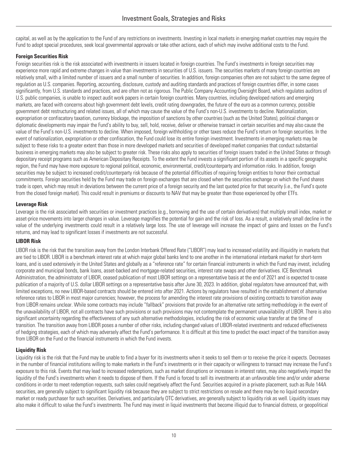capital, as well as by the application to the Fund of any restrictions on investments. Investing in local markets in emerging market countries may require the Fund to adopt special procedures, seek local governmental approvals or take other actions, each of which may involve additional costs to the Fund.

#### **Foreign Securities Risk**

Foreign securities risk is the risk associated with investments in issuers located in foreign countries. The Fund's investments in foreign securities may experience more rapid and extreme changes in value than investments in securities of U.S. issuers. The securities markets of many foreign countries are relatively small, with a limited number of issuers and a small number of securities. In addition, foreign companies often are not subject to the same degree of regulation as U.S. companies. Reporting, accounting, disclosure, custody and auditing standards and practices of foreign countries differ, in some cases significantly, from U.S. standards and practices, and are often not as rigorous. The Public Company Accounting Oversight Board, which regulates auditors of U.S. public companies, is unable to inspect audit work papers in certain foreign countries. Many countries, including developed nations and emerging markets, are faced with concerns about high government debt levels, credit rating downgrades, the future of the euro as a common currency, possible government debt restructuring and related issues, all of which may cause the value of the Fund's non-U.S. investments to decline. Nationalization, expropriation or confiscatory taxation, currency blockage, the imposition of sanctions by other countries (such as the United States), political changes or diplomatic developments may impair the Fund's ability to buy, sell, hold, receive, deliver or otherwise transact in certain securities and may also cause the value of the Fund's non-U.S. investments to decline. When imposed, foreign withholding or other taxes reduce the Fund's return on foreign securities. In the event of nationalization, expropriation or other confiscation, the Fund could lose its entire foreign investment. Investments in emerging markets may be subject to these risks to a greater extent than those in more developed markets and securities of developed market companies that conduct substantial business in emerging markets may also be subject to greater risk. These risks also apply to securities of foreign issuers traded in the United States or through depositary receipt programs such as American Depositary Receipts. To the extent the Fund invests a significant portion of its assets in a specific geographic region, the Fund may have more exposure to regional political, economic, environmental, credit/counterparty and information risks. In addition, foreign securities may be subject to increased credit/counterparty risk because of the potential difficulties of requiring foreign entities to honor their contractual commitments. Foreign securities held by the Fund may trade on foreign exchanges that are closed when the securities exchange on which the Fund shares trade is open, which may result in deviations between the current price of a foreign security and the last quoted price for that security (i.e., the Fund's quote from the closed foreign market). This could result in premiums or discounts to NAV that may be greater than those experienced by other ETFs.

#### **Leverage Risk**

Leverage is the risk associated with securities or investment practices (e.g., borrowing and the use of certain derivatives) that multiply small index, market or asset-price movements into larger changes in value. Leverage magnifies the potential for gain and the risk of loss. As a result, a relatively small decline in the value of the underlying investments could result in a relatively large loss. The use of leverage will increase the impact of gains and losses on the Fund's returns, and may lead to significant losses if investments are not successful.

#### **LIBOR Risk**

LIBOR risk is the risk that the transition away from the London Interbank Offered Rate ("LIBOR") may lead to increased volatility and illiquidity in markets that are tied to LIBOR. LIBOR is a benchmark interest rate at which major global banks lend to one another in the international interbank market for short-term loans, and is used extensively in the United States and globally as a "reference rate" for certain financial instruments in which the Fund may invest, including corporate and municipal bonds, bank loans, asset-backed and mortgage-related securities, interest rate swaps and other derivatives. ICE Benchmark Administration, the administrator of LIBOR, ceased publication of most LIBOR settings on a representative basis at the end of 2021 and is expected to cease publication of a majority of U.S. dollar LIBOR settings on a representative basis after June 30, 2023. In addition, global regulators have announced that, with limited exceptions, no new LIBOR-based contracts should be entered into after 2021. Actions by regulators have resulted in the establishment of alternative reference rates to LIBOR in most major currencies; however, the process for amending the interest rate provisions of existing contracts to transition away from LIBOR remains unclear. While some contracts may include "fallback" provisions that provide for an alternative rate setting methodology in the event of the unavailability of LIBOR, not all contracts have such provisions or such provisions may not contemplate the permanent unavailability of LIBOR. There is also significant uncertainty regarding the effectiveness of any such alternative methodologies, including the risk of economic value transfer at the time of transition. The transition away from LIBOR poses a number of other risks, including changed values of LIBOR-related investments and reduced effectiveness of hedging strategies, each of which may adversely affect the Fund's performance. It is difficult at this time to predict the exact impact of the transition away from LIBOR on the Fund or the financial instruments in which the Fund invests.

#### **Liquidity Risk**

Liquidity risk is the risk that the Fund may be unable to find a buyer for its investments when it seeks to sell them or to receive the price it expects. Decreases in the number of financial institutions willing to make markets in the Fund's investments or in their capacity or willingness to transact may increase the Fund's exposure to this risk. Events that may lead to increased redemptions, such as market disruptions or increases in interest rates, may also negatively impact the liquidity of the Fund's investments when it needs to dispose of them. If the Fund is forced to sell its investments at an unfavorable time and/or under adverse conditions in order to meet redemption requests, such sales could negatively affect the Fund. Securities acquired in a private placement, such as Rule 144A securities, are generally subject to significant liquidity risk because they are subject to strict restrictions on resale and there may be no liquid secondary market or ready purchaser for such securities. Derivatives, and particularly OTC derivatives, are generally subject to liquidity risk as well. Liquidity issues may also make it difficult to value the Fund's investments. The Fund may invest in liquid investments that become illiquid due to financial distress, or geopolitical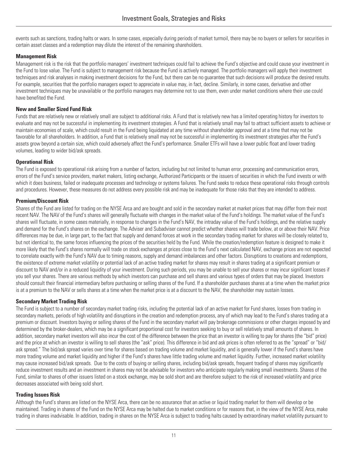events such as sanctions, trading halts or wars. In some cases, especially during periods of market turmoil, there may be no buyers or sellers for securities in certain asset classes and a redemption may dilute the interest of the remaining shareholders.

#### **Management Risk**

Management risk is the risk that the portfolio managers' investment techniques could fail to achieve the Fund's objective and could cause your investment in the Fund to lose value. The Fund is subject to management risk because the Fund is actively managed. The portfolio managers will apply their investment techniques and risk analyses in making investment decisions for the Fund, but there can be no guarantee that such decisions will produce the desired results. For example, securities that the portfolio managers expect to appreciate in value may, in fact, decline. Similarly, in some cases, derivative and other investment techniques may be unavailable or the portfolio managers may determine not to use them, even under market conditions where their use could have benefited the Fund.

#### **New and Smaller Sized Fund Risk**

Funds that are relatively new or relatively small are subject to additional risks. A Fund that is relatively new has a limited operating history for investors to evaluate and may not be successful in implementing its investment strategies. A Fund that is relatively small may fail to attract sufficient assets to achieve or maintain economies of scale, which could result in the Fund being liquidated at any time without shareholder approval and at a time that may not be favorable for all shareholders. In addition, a Fund that is relatively small may not be successful in implementing its investment strategies after the Fund's assets grow beyond a certain size, which could adversely affect the Fund's performance. Smaller ETFs will have a lower public float and lower trading volumes, leading to wider bid/ask spreads.

#### **Operational Risk**

The Fund is exposed to operational risk arising from a number of factors, including but not limited to human error, processing and communication errors, errors of the Fund's service providers, market makers, listing exchange, Authorized Participants or the issuers of securities in which the Fund invests or with which it does business, failed or inadequate processes and technology or systems failures. The Fund seeks to reduce these operational risks through controls and procedures. However, these measures do not address every possible risk and may be inadequate for those risks that they are intended to address.

#### **Premium/Discount Risk**

Shares of the Fund are listed for trading on the NYSE Arca and are bought and sold in the secondary market at market prices that may differ from their most recent NAV. The NAV of the Fund's shares will generally fluctuate with changes in the market value of the Fund's holdings. The market value of the Fund's shares will fluctuate, in some cases materially, in response to changes in the Fund's NAV, the intraday value of the Fund's holdings, and the relative supply and demand for the Fund's shares on the exchange. The Adviser and Subadviser cannot predict whether shares will trade below, at or above their NAV. Price differences may be due, in large part, to the fact that supply and demand forces at work in the secondary trading market for shares will be closely related to, but not identical to, the same forces influencing the prices of the securities held by the Fund. While the creation/redemption feature is designed to make it more likely that the Fund's shares normally will trade on stock exchanges at prices close to the Fund's next calculated NAV, exchange prices are not expected to correlate exactly with the Fund's NAV due to timing reasons, supply and demand imbalances and other factors. Disruptions to creations and redemptions, the existence of extreme market volatility or potential lack of an active trading market for shares may result in shares trading at a significant premium or discount to NAV and/or in a reduced liquidity of your investment. During such periods, you may be unable to sell your shares or may incur significant losses if you sell your shares. There are various methods by which investors can purchase and sell shares and various types of orders that may be placed. Investors should consult their financial intermediary before purchasing or selling shares of the Fund. If a shareholder purchases shares at a time when the market price is at a premium to the NAV or sells shares at a time when the market price is at a discount to the NAV, the shareholder may sustain losses.

#### **Secondary Market Trading Risk**

The Fund is subject to a number of secondary market trading risks, including the potential lack of an active market for Fund shares, losses from trading in secondary markets, periods of high volatility and disruptions in the creation and redemption process, any of which may lead to the Fund's shares trading at a premium or discount. Investors buying or selling shares of the Fund in the secondary market will pay brokerage commissions or other charges imposed by and determined by the broker-dealers, which may be a significant proportional cost for investors seeking to buy or sell relatively small amounts of shares. In addition, secondary market investors will also incur the cost of the difference between the price that an investor is willing to pay for shares (the "bid" price) and the price at which an investor is willing to sell shares (the "ask" price). This difference in bid and ask prices is often referred to as the "spread" or "bid/ ask spread." The bid/ask spread varies over time for shares based on trading volume and market liquidity, and is generally lower if the Fund's shares have more trading volume and market liquidity and higher if the Fund's shares have little trading volume and market liquidity. Further, increased market volatility may cause increased bid/ask spreads. Due to the costs of buying or selling shares, including bid/ask spreads, frequent trading of shares may significantly reduce investment results and an investment in shares may not be advisable for investors who anticipate regularly making small investments. Shares of the Fund, similar to shares of other issuers listed on a stock exchange, may be sold short and are therefore subject to the risk of increased volatility and price decreases associated with being sold short.

#### **Trading Issues Risk**

Although the Fund's shares are listed on the NYSE Arca, there can be no assurance that an active or liquid trading market for them will develop or be maintained. Trading in shares of the Fund on the NYSE Arca may be halted due to market conditions or for reasons that, in the view of the NYSE Arca, make trading in shares inadvisable. In addition, trading in shares on the NYSE Arca is subject to trading halts caused by extraordinary market volatility pursuant to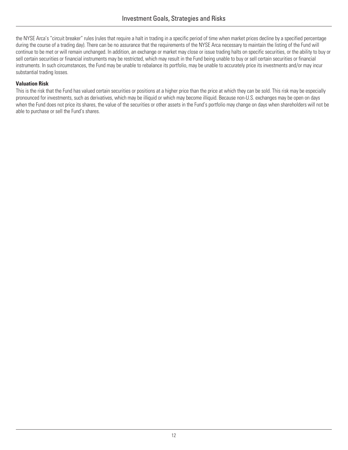the NYSE Arca's "circuit breaker" rules (rules that require a halt in trading in a specific period of time when market prices decline by a specified percentage during the course of a trading day). There can be no assurance that the requirements of the NYSE Arca necessary to maintain the listing of the Fund will continue to be met or will remain unchanged. In addition, an exchange or market may close or issue trading halts on specific securities, or the ability to buy or sell certain securities or financial instruments may be restricted, which may result in the Fund being unable to buy or sell certain securities or financial instruments. In such circumstances, the Fund may be unable to rebalance its portfolio, may be unable to accurately price its investments and/or may incur substantial trading losses.

#### **Valuation Risk**

This is the risk that the Fund has valued certain securities or positions at a higher price than the price at which they can be sold. This risk may be especially pronounced for investments, such as derivatives, which may be illiquid or which may become illiquid. Because non-U.S. exchanges may be open on days when the Fund does not price its shares, the value of the securities or other assets in the Fund's portfolio may change on days when shareholders will not be able to purchase or sell the Fund's shares.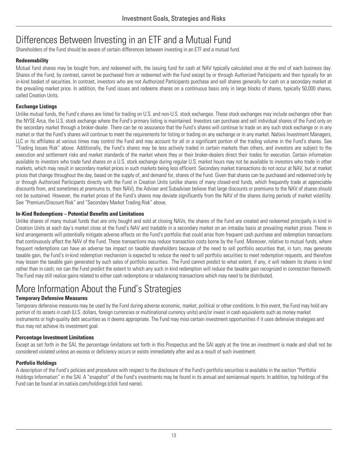### <span id="page-14-0"></span>Differences Between Investing in an ETF and a Mutual Fund

Shareholders of the Fund should be aware of certain differences between investing in an ETF and a mutual fund.

#### **Redeemability**

Mutual fund shares may be bought from, and redeemed with, the issuing fund for cash at NAV typically calculated once at the end of each business day. Shares of the Fund, by contrast, cannot be purchased from or redeemed with the Fund except by or through Authorized Participants and then typically for an in-kind basket of securities. In contrast, investors who are not Authorized Participants purchase and sell shares generally for cash on a secondary market at the prevailing market price. In addition, the Fund issues and redeems shares on a continuous basis only in large blocks of shares, typically 50,000 shares, called Creation Units.

#### **Exchange Listings**

Unlike mutual funds, the Fund's shares are listed for trading on U.S. and non-U.S. stock exchanges. These stock exchanges may include exchanges other than the NYSE Arca, the U.S. stock exchange where the Fund's primary listing is maintained. Investors can purchase and sell individual shares of the Fund only on the secondary market through a broker-dealer. There can be no assurance that the Fund's shares will continue to trade on any such stock exchange or in any market or that the Fund's shares will continue to meet the requirements for listing or trading on any exchange or in any market. Natixis Investment Managers, LLC or its affiliates at various times may control the Fund and may account for all or a significant portion of the trading volume in the Fund's shares. See "Trading Issues Risk" above. Additionally, the Fund's shares may be less actively traded in certain markets than others, and investors are subject to the execution and settlement risks and market standards of the market where they or their broker-dealers direct their trades for execution. Certain information available to investors who trade fund shares on a U.S. stock exchange during regular U.S. market hours may not be available to investors who trade in other markets, which may result in secondary market prices in such markets being less efficient. Secondary market transactions do not occur at NAV, but at market prices that change throughout the day, based on the supply of, and demand for, shares of the Fund. Given that shares can be purchased and redeemed only by or through Authorized Participants directly with the Fund in Creation Units (unlike shares of many closed-end funds, which frequently trade at appreciable discounts from, and sometimes at premiums to, their NAV), the Adviser and Subadviser believe that large discounts or premiums to the NAV of shares should not be sustained. However, the market prices of the Fund's shares may deviate significantly from the NAV of the shares during periods of market volatility. See "Premium/Discount Risk" and "Secondary Market Trading Risk" above.

#### **In-Kind Redemptions – Potential Benefits and Limitations**

Unlike shares of many mutual funds that are only bought and sold at closing NAVs, the shares of the Fund are created and redeemed principally in kind in Creation Units at each day's market close at the Fund's NAV and tradable in a secondary market on an intraday basis at prevailing market prices. These in kind arrangements will potentially mitigate adverse effects on the Fund's portfolio that could arise from frequent cash purchase and redemption transactions that continuously affect the NAV of the Fund. These transactions may reduce transaction costs borne by the Fund. Moreover, relative to mutual funds, where frequent redemptions can have an adverse tax impact on taxable shareholders because of the need to sell portfolio securities that, in turn, may generate taxable gain, the Fund's in-kind redemption mechanism is expected to reduce the need to sell portfolio securities to meet redemption requests, and therefore may lessen the taxable gain generated by such sales of portfolio securities. The Fund cannot predict to what extent, if any, it will redeem its shares in kind rather than in cash; nor can the Fund predict the extent to which any such in kind redemption will reduce the taxable gain recognized in connection therewith. The Fund may still realize gains related to either cash redemptions or rebalancing transactions which may need to be distributed.

### <span id="page-14-1"></span>More Information About the Fund's Strategies

#### **Temporary Defensive Measures**

Temporary defensive measures may be used by the Fund during adverse economic, market, political or other conditions. In this event, the Fund may hold any portion of its assets in cash (U.S. dollars, foreign currencies or multinational currency units) and/or invest in cash equivalents such as money market instruments or high-quality debt securities as it deems appropriate. The Fund may miss certain investment opportunities if it uses defensive strategies and thus may not achieve its investment goal.

#### **Percentage Investment Limitations**

Except as set forth in the SAI, the percentage limitations set forth in this Prospectus and the SAI apply at the time an investment is made and shall not be considered violated unless an excess or deficiency occurs or exists immediately after and as a result of such investment.

#### **Portfolio Holdings**

A description of the Fund's policies and procedures with respect to the disclosure of the Fund's portfolio securities is available in the section "Portfolio Holdings Information" in the SAI. A "snapshot" of the Fund's investments may be found in its annual and semiannual reports. In addition, top holdings of the Fund can be found at im.natixis.com/holdings (click fund name).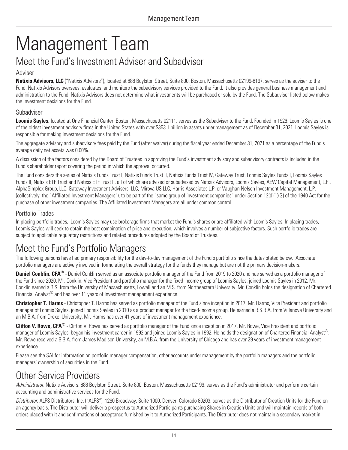# <span id="page-15-0"></span>Management Team

### Meet the Fund's Investment Adviser and Subadviser

#### Adviser

**Natixis Advisors, LLC** ("Natixis Advisors"), located at 888 Boylston Street, Suite 800, Boston, Massachusetts 02199-8197, serves as the adviser to the Fund. Natixis Advisors oversees, evaluates, and monitors the subadvisory services provided to the Fund. It also provides general business management and administration to the Fund. Natixis Advisors does not determine what investments will be purchased or sold by the Fund. The Subadviser listed below makes the investment decisions for the Fund.

#### Subadviser

**Loomis Sayles,** located at One Financial Center, Boston, Massachusetts 02111, serves as the Subadviser to the Fund. Founded in 1926, Loomis Sayles is one of the oldest investment advisory firms in the United States with over \$363.1 billion in assets under management as of December 31, 2021. Loomis Sayles is responsible for making investment decisions for the Fund.

The aggregate advisory and subadvisory fees paid by the Fund (after waiver) during the fiscal year ended December 31, 2021 as a percentage of the Fund's average daily net assets was 0.00%.

A discussion of the factors considered by the Board of Trustees in approving the Fund's investment advisory and subadvisory contracts is included in the Fund's shareholder report covering the period in which the approval occurred.

The Fund considers the series of Natixis Funds Trust I, Natixis Funds Trust II, Natixis Funds Trust IV, Gateway Trust, Loomis Sayles Funds I, Loomis Sayles Funds II, Natixis ETF Trust and Natixis ETF Trust II, all of which are advised or subadvised by Natixis Advisors, Loomis Sayles, AEW Capital Management, L.P., AlphaSimplex Group, LLC, Gateway Investment Advisers, LLC, Mirova US LLC, Harris Associates L.P. or Vaughan Nelson Investment Management, L.P. (collectively, the "Affiliated Investment Managers"), to be part of the "same group of investment companies" under Section 12(d)(1)(G) of the 1940 Act for the purchase of other investment companies. The Affiliated Investment Managers are all under common control.

#### Portfolio Trades

In placing portfolio trades, Loomis Sayles may use brokerage firms that market the Fund's shares or are affiliated with Loomis Sayles. In placing trades, Loomis Sayles will seek to obtain the best combination of price and execution, which involves a number of subjective factors. Such portfolio trades are subject to applicable regulatory restrictions and related procedures adopted by the Board of Trustees.

### <span id="page-15-1"></span>Meet the Fund's Portfolio Managers

The following persons have had primary responsibility for the day-to-day management of the Fund's portfolio since the dates stated below. Associate portfolio managers are actively involved in formulating the overall strategy for the funds they manage but are not the primary decision-makers.

**Daniel Conklin, CFA®** - Daniel Conklin served as an associate portfolio manager of the Fund from 2019 to 2020 and has served as a portfolio manager of the Fund since 2020. Mr. Conklin, Vice President and portfolio manager for the fixed income group of Loomis Sayles, joined Loomis Sayles in 2012. Mr. Conklin earned a B.S. from the University of Massachusetts, Lowell and an M.S. from Northeastern University. Mr. Conklin holds the designation of Chartered Financial Analyst® and has over 11 years of investment management experience.

**Christopher T. Harms** - Christopher T. Harms has served as portfolio manager of the Fund since inception in 2017. Mr. Harms, Vice President and portfolio manager of Loomis Sayles, joined Loomis Sayles in 2010 as a product manager for the fixed-income group. He earned a B.S.B.A. from Villanova University and an M.B.A. from Drexel University. Mr. Harms has over 41 years of investment management experience.

**Clifton V. Rowe, CFA®** - Clifton V. Rowe has served as portfolio manager of the Fund since inception in 2017. Mr. Rowe, Vice President and portfolio manager of Loomis Sayles, began his investment career in 1992 and joined Loomis Sayles in 1992. He holds the designation of Chartered Financial Analyst®. . Mr. Rowe received a B.B.A. from James Madison University, an M.B.A. from the University of Chicago and has over 29 years of investment management experience.

Please see the SAI for information on portfolio manager compensation, other accounts under management by the portfolio managers and the portfolio managers' ownership of securities in the Fund.

### <span id="page-15-2"></span>Other Service Providers

*Administrator.* Natixis Advisors, 888 Boylston Street, Suite 800, Boston, Massachusetts 02199, serves as the Fund's administrator and performs certain accounting and administrative services for the Fund.

*Distributor.* ALPS Distributors, Inc. ("ALPS"), 1290 Broadway, Suite 1000, Denver, Colorado 80203, serves as the Distributor of Creation Units for the Fund on an agency basis. The Distributor will deliver a prospectus to Authorized Participants purchasing Shares in Creation Units and will maintain records of both orders placed with it and confirmations of acceptance furnished by it to Authorized Participants. The Distributor does not maintain a secondary market in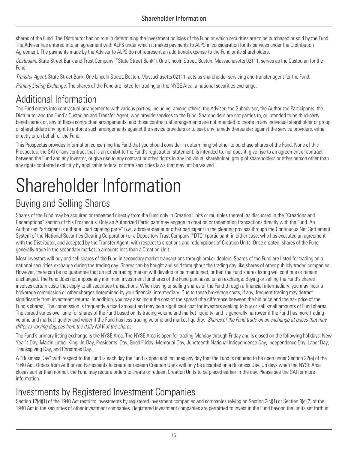shares of the Fund. The Distributor has no role in determining the investment policies of the Fund or which securities are to be purchased or sold by the Fund. The Adviser has entered into an agreement with ALPS under which it makes payments to ALPS in consideration for its services under the Distribution Agreement. The payments made by the Adviser to ALPS do not represent an additional expense to the Fund or its shareholders.

*Custodian.* State Street Bank and Trust Company ("State Street Bank"), One Lincoln Street, Boston, Massachusetts 02111, serves as the Custodian for the Fund.

*Transfer Agent.* State Street Bank, One Lincoln Street, Boston, Massachusetts 02111, acts as shareholder servicing and transfer agent for the Fund. *Primary Listing Exchange.* The shares of the Fund are listed for trading on the NYSE Arca, a national securities exchange.

### <span id="page-16-0"></span>Additional Information

The Fund enters into contractual arrangements with various parties, including, among others, the Adviser, the Subadviser, the Authorized Participants, the Distributor and the Fund's Custodian and Transfer Agent, who provide services to the Fund. Shareholders are not parties to, or intended to be third-party beneficiaries of, any of those contractual arrangements, and those contractual arrangements are not intended to create in any individual shareholder or group of shareholders any right to enforce such arrangements against the service providers or to seek any remedy thereunder against the service providers, either directly or on behalf of the Fund.

This Prospectus provides information concerning the Fund that you should consider in determining whether to purchase shares of the Fund. None of this Prospectus, the SAI or any contract that is an exhibit to the Fund's registration statement, is intended to, nor does it, give rise to an agreement or contract between the Fund and any investor, or give rise to any contract or other rights in any individual shareholder, group of shareholders or other person other than any rights conferred explicitly by applicable federal or state securities laws that may not be waived.

# <span id="page-16-1"></span>Shareholder Information

### Buying and Selling Shares

Shares of the Fund may be acquired or redeemed directly from the Fund only in Creation Units or multiples thereof, as discussed in the "Creations and Redemptions" section of this Prospectus. Only an Authorized Participant may engage in creation or redemption transactions directly with the Fund. An Authorized Participant is either a "participating party" (*i.e.*, a broker-dealer or other participant in the clearing process through the Continuous Net Settlement System of the National Securities Clearing Corporation) or a Depository Trust Company ("DTC") participant, in either case, who has executed an agreement with the Distributor, and accepted by the Transfer Agent, with respect to creations and redemptions of Creation Units. Once created, shares of the Fund generally trade in the secondary market in amounts less than a Creation Unit.

Most investors will buy and sell shares of the Fund in secondary market transactions through broker-dealers. Shares of the Fund are listed for trading on a national securities exchange during the trading day. Shares can be bought and sold throughout the trading day like shares of other publicly traded companies. However, there can be no guarantee that an active trading market will develop or be maintained, or that the Fund shares listing will continue or remain unchanged. The Fund does not impose any minimum investment for shares of the Fund purchased on an exchange. Buying or selling the Fund's shares involves certain costs that apply to all securities transactions. When buying or selling shares of the Fund through a financial intermediary, you may incur a brokerage commission or other charges determined by your financial intermediary. Due to these brokerage costs, if any, frequent trading may detract significantly from investment returns. In addition, you may also incur the cost of the spread (the difference between the bid price and the ask price of the Fund's shares). The commission is frequently a fixed amount and may be a significant cost for investors seeking to buy or sell small amounts of Fund shares. The spread varies over time for shares of the Fund based on its trading volume and market liquidity, and is generally narrower if the Fund has more trading volume and market liquidity and wider if the Fund has less trading volume and market liquidity. *Shares of the Fund trade on an exchange at prices that may differ to varying degrees from the daily NAV of the shares.*

The Fund's primary listing exchange is the NYSE Arca. The NYSE Arca is open for trading Monday through Friday and is closed on the following holidays: New Year's Day, Martin Luther King, Jr. Day, Presidents' Day, Good Friday, Memorial Day, Juneteenth National Independence Day, Independence Day, Labor Day, Thanksgiving Day, and Christmas Day.

A "Business Day" with respect to the Fund is each day the Fund is open and includes any day that the Fund is required to be open under Section 22(e) of the 1940 Act. Orders from Authorized Participants to create or redeem Creation Units will only be accepted on a Business Day. On days when the NYSE Arca closes earlier than normal, the Fund may require orders to create or redeem Creation Units to be placed earlier in the day. Please see the SAI for more information.

### <span id="page-16-2"></span>Investments by Registered Investment Companies

Section 12(d)(1) of the 1940 Act restricts investments by registered investment companies and companies relying on Section 3(c)(1) or Section 3(c)(7) of the 1940 Act in the securities of other investment companies. Registered investment companies are permitted to invest in the Fund beyond the limits set forth in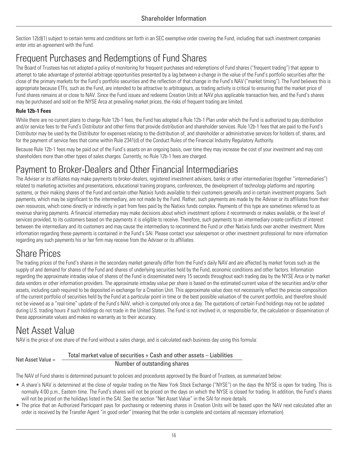Section 12(d)(1) subject to certain terms and conditions set forth in an SEC exemptive order covering the Fund, including that such investment companies enter into an agreement with the Fund.

### <span id="page-17-0"></span>Frequent Purchases and Redemptions of Fund Shares

The Board of Trustees has not adopted a policy of monitoring for frequent purchases and redemptions of Fund shares ("frequent trading") that appear to attempt to take advantage of potential arbitrage opportunities presented by a lag between a change in the value of the Fund's portfolio securities after the close of the primary markets for the Fund's portfolio securities and the reflection of that change in the Fund's NAV ("market timing"). The Fund believes this is appropriate because ETFs, such as the Fund, are intended to be attractive to arbitrageurs, as trading activity is critical to ensuring that the market price of Fund shares remains at or close to NAV. Since the Fund issues and redeems Creation Units at NAV plus applicable transaction fees, and the Fund's shares may be purchased and sold on the NYSE Arca at prevailing market prices, the risks of frequent trading are limited.

#### **Rule 12b-1 Fees**

While there are no current plans to charge Rule 12b-1 fees, the Fund has adopted a Rule 12b-1 Plan under which the Fund is authorized to pay distribution and/or service fees to the Fund's Distributor and other firms that provide distribution and shareholder services. Rule 12b-1 fees that are paid to the Fund's Distributor may be used by the Distributor for expenses relating to the distribution of, and shareholder or administrative services for holders of, shares, and for the payment of service fees that come within Rule 2341(d) of the Conduct Rules of the Financial Industry Regulatory Authority.

Because Rule 12b-1 fees may be paid out of the Fund's assets on an ongoing basis, over time they may increase the cost of your investment and may cost shareholders more than other types of sales charges. Currently, no Rule 12b-1 fees are charged.

### <span id="page-17-1"></span>Payment to Broker-Dealers and Other Financial Intermediaries

The Adviser or its affiliates may make payments to broker-dealers, registered investment advisers, banks or other intermediaries (together "intermediaries") related to marketing activities and presentations, educational training programs, conferences, the development of technology platforms and reporting systems, or their making shares of the Fund and certain other Natixis funds available to their customers generally and in certain investment programs. Such payments, which may be significant to the intermediary, are not made by the Fund. Rather, such payments are made by the Adviser or its affiliates from their own resources, which come directly or indirectly in part from fees paid by the Natixis funds complex. Payments of this type are sometimes referred to as revenue sharing payments. A financial intermediary may make decisions about which investment options it recommends or makes available, or the level of services provided, to its customers based on the payments it is eligible to receive. Therefore, such payments to an intermediary create conflicts of interest between the intermediary and its customers and may cause the intermediary to recommend the Fund or other Natixis funds over another investment. More information regarding these payments is contained in the Fund's SAI. Please contact your salesperson or other investment professional for more information regarding any such payments his or her firm may receive from the Adviser or its affiliates.

### <span id="page-17-2"></span>Share Prices

The trading prices of the Fund's shares in the secondary market generally differ from the Fund's daily NAV and are affected by market forces such as the supply of and demand for shares of the Fund and shares of underlying securities held by the Fund, economic conditions and other factors. Information regarding the approximate intraday value of shares of the Fund is disseminated every 15 seconds throughout each trading day by the NYSE Arca or by market data vendors or other information providers. The approximate intraday value per share is based on the estimated current value of the securities and/or other assets, including cash required to be deposited in exchange for a Creation Unit. This approximate value does not necessarily reflect the precise composition of the current portfolio of securities held by the Fund at a particular point in time or the best possible valuation of the current portfolio, and therefore should not be viewed as a "real-time" update of the Fund's NAV, which is computed only once a day. The quotations of certain Fund holdings may not be updated during U.S. trading hours if such holdings do not trade in the United States. The Fund is not involved in, or responsible for, the calculation or dissemination of these approximate values and makes no warranty as to their accuracy.

### <span id="page-17-3"></span>Net Asset Value

NAV is the price of one share of the Fund without a sales charge, and is calculated each business day using this formula:

Net Asset Value =

#### Total market value of securities + Cash and other assets – Liabilities

#### Number of outstanding shares

The NAV of Fund shares is determined pursuant to policies and procedures approved by the Board of Trustees, as summarized below:

- A share's NAV is determined at the close of regular trading on the New York Stock Exchange ("NYSE") on the days the NYSE is open for trading. This is normally 4:00 p.m., Eastern time. The Fund's shares will not be priced on the days on which the NYSE is closed for trading. In addition, the Fund's shares will not be priced on the holidays listed in the SAI. See the section "Net Asset Value" in the SAI for more details.
- The price that an Authorized Participant pays for purchasing or redeeming shares in Creation Units will be based upon the NAV next calculated after an order is received by the Transfer Agent "in good order" (meaning that the order is complete and contains all necessary information).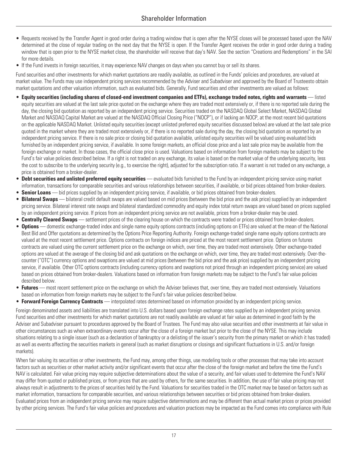- Requests received by the Transfer Agent in good order during a trading window that is open after the NYSE closes will be processed based upon the NAV determined at the close of regular trading on the next day that the NYSE is open. If the Transfer Agent receives the order in good order during a trading window that is open prior to the NYSE market close, the shareholder will receive that day's NAV. See the section "Creations and Redemptions" in the SAI for more details.
- If the Fund invests in foreign securities, it may experience NAV changes on days when you cannot buy or sell its shares.

Fund securities and other investments for which market quotations are readily available, as outlined in the Funds' policies and procedures, are valued at market value. The Funds may use independent pricing services recommended by the Adviser and Subadviser and approved by the Board of Trusteesto obtain market quotations and other valuation information, such as evaluated bids. Generally, Fund securities and other investments are valued as follows:

- **Equity securities (including shares of closed-end investment companies and ETFs), exchange traded notes, rights and warrants** listed equity securities are valued at the last sale price quoted on the exchange where they are traded most extensively or, if there is no reported sale during the day, the closing bid quotation as reported by an independent pricing service. Securities traded on the NASDAQ Global Select Market, NASDAQ Global Market and NASDAQ Capital Market are valued at the NASDAQ Official Closing Price ("NOCP"), or if lacking an NOCP, at the most recent bid quotations on the applicable NASDAQ Market. Unlisted equity securities (except unlisted preferred equity securities discussed below) are valued at the last sale price quoted in the market where they are traded most extensively or, if there is no reported sale during the day, the closing bid quotation as reported by an independent pricing service. If there is no sale price or closing bid quotation available, unlisted equity securities will be valued using evaluated bids furnished by an independent pricing service, if available. In some foreign markets, an official close price and a last sale price may be available from the foreign exchange or market. In those cases, the official close price is used. Valuations based on information from foreign markets may be subject to the Fund's fair value policies described below. If a right is not traded on any exchange, its value is based on the market value of the underlying security, less the cost to subscribe to the underlying security (e.g., to exercise the right), adjusted for the subscription ratio. If a warrant is not traded on any exchange, a price is obtained from a broker-dealer.
- **Debt securities and unlisted preferred equity securities** evaluated bids furnished to the Fund by an independent pricing service using market information, transactions for comparable securities and various relationships between securities, if available, or bid prices obtained from broker-dealers.
- **Senior Loans** bid prices supplied by an independent pricing service, if available, or bid prices obtained from broker-dealers.
- **Bilateral Swaps** bilateral credit default swaps are valued based on mid prices (between the bid price and the ask price) supplied by an independent pricing service. Bilateral interest rate swaps and bilateral standardized commodity and equity index total return swaps are valued based on prices supplied by an independent pricing service. If prices from an independent pricing service are not available, prices from a broker-dealer may be used.
- **Centrally Cleared Swaps** settlement prices of the clearing house on which the contracts were traded or prices obtained from broker-dealers.
- **Options** domestic exchange-traded index and single name equity options contracts (including options on ETFs) are valued at the mean of the National Best Bid and Offer quotations as determined by the Options Price Reporting Authority. Foreign exchange-traded single name equity options contracts are valued at the most recent settlement price. Options contracts on foreign indices are priced at the most recent settlement price. Options on futures contracts are valued using the current settlement price on the exchange on which, over time, they are traded most extensively. Other exchange-traded options are valued at the average of the closing bid and ask quotations on the exchange on which, over time, they are traded most extensively. Over-thecounter ("OTC") currency options and swaptions are valued at mid prices (between the bid price and the ask price) supplied by an independent pricing service, if available. Other OTC options contracts (including currency options and swaptions not priced through an independent pricing service) are valued based on prices obtained from broker-dealers. Valuations based on information from foreign markets may be subject to the Fund's fair value policies described below.
- **Futures** most recent settlement price on the exchange on which the Adviser believes that, over time, they are traded most extensively. Valuations based on information from foreign markets may be subject to the Fund's fair value policies described below.
- **Forward Foreign Currency Contracts** interpolated rates determined based on information provided by an independent pricing service.

Foreign denominated assets and liabilities are translated into U.S. dollars based upon foreign exchange rates supplied by an independent pricing service. Fund securities and other investments for which market quotations are not readily available are valued at fair value as determined in good faith by the Adviser and Subadviser pursuant to procedures approved by the Board of Trustees. The Fund may also value securities and other investments at fair value in other circumstances such as when extraordinary events occur after the close of a foreign market but prior to the close of the NYSE. This may include situations relating to a single issuer (such as a declaration of bankruptcy or a delisting of the issuer's security from the primary market on which it has traded) as well as events affecting the securities markets in general (such as market disruptions or closings and significant fluctuations in U.S. and/or foreign markets).

When fair valuing its securities or other investments, the Fund may, among other things, use modeling tools or other processes that may take into account factors such as securities or other market activity and/or significant events that occur after the close of the foreign market and before the time the Fund's NAV is calculated. Fair value pricing may require subjective determinations about the value of a security, and fair values used to determine the Fund's NAV may differ from quoted or published prices, or from prices that are used by others, for the same securities. In addition, the use of fair value pricing may not always result in adjustments to the prices of securities held by the Fund. Valuations for securities traded in the OTC market may be based on factors such as market information, transactions for comparable securities, and various relationships between securities or bid prices obtained from broker-dealers. Evaluated prices from an independent pricing service may require subjective determinations and may be different than actual market prices or prices provided by other pricing services. The Fund's fair value policies and procedures and valuation practices may be impacted as the Fund comes into compliance with Rule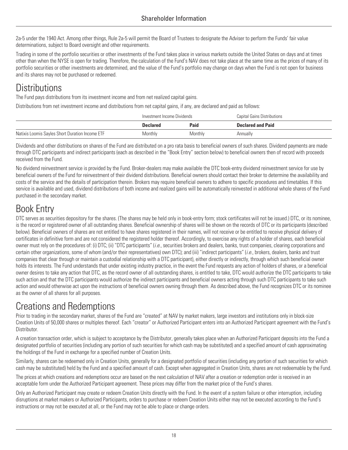2a-5 under the 1940 Act. Among other things, Rule 2a-5 will permit the Board of Trustees to designate the Adviser to perform the Funds' fair value determinations, subject to Board oversight and other requirements.

Trading in some of the portfolio securities or other investments of the Fund takes place in various markets outside the United States on days and at times other than when the NYSE is open for trading. Therefore, the calculation of the Fund's NAV does not take place at the same time as the prices of many of its portfolio securities or other investments are determined, and the value of the Fund's portfolio may change on days when the Fund is not open for business and its shares may not be purchased or redeemed.

### <span id="page-19-0"></span>**Distributions**

The Fund pays distributions from its investment income and from net realized capital gains.

Distributions from net investment income and distributions from net capital gains, if any, are declared and paid as follows:

|                                                 | Investment Income Dividends |         | Capital Gains Distributions |
|-------------------------------------------------|-----------------------------|---------|-----------------------------|
|                                                 | <b>Declared</b>             | Paid    | <b>Declared and Paid</b>    |
| Natixis Loomis Sayles Short Duration Income ETF | Monthly                     | Monthly | Annually                    |

Dividends and other distributions on shares of the Fund are distributed on a pro rata basis to beneficial owners of such shares. Dividend payments are made through DTC participants and indirect participants (each as described in the "Book Entry" section below) to beneficial owners then of record with proceeds received from the Fund.

No dividend reinvestment service is provided by the Fund. Broker-dealers may make available the DTC book-entry dividend reinvestment service for use by beneficial owners of the Fund for reinvestment of their dividend distributions. Beneficial owners should contact their broker to determine the availability and costs of the service and the details of participation therein. Brokers may require beneficial owners to adhere to specific procedures and timetables. If this service is available and used, dividend distributions of both income and realized gains will be automatically reinvested in additional whole shares of the Fund purchased in the secondary market.

### <span id="page-19-1"></span>Book Entry

DTC serves as securities depository for the shares. (The shares may be held only in book-entry form; stock certificates will not be issued.) DTC, or its nominee, is the record or registered owner of all outstanding shares. Beneficial ownership of shares will be shown on the records of DTC or its participants (described below). Beneficial owners of shares are not entitled to have shares registered in their names, will not receive or be entitled to receive physical delivery of certificates in definitive form and are not considered the registered holder thereof. Accordingly, to exercise any rights of a holder of shares, each beneficial owner must rely on the procedures of: (i) DTC; (ii) "DTC participants" (*i.e.*, securities brokers and dealers, banks, trust companies, clearing corporations and certain other organizations, some of whom (and/or their representatives) own DTC); and (iii) "indirect participants" (*i.e.*, brokers, dealers, banks and trust companies that clear through or maintain a custodial relationship with a DTC participant), either directly or indirectly, through which such beneficial owner holds its interests. The Fund understands that under existing industry practice, in the event the Fund requests any action of holders of shares, or a beneficial owner desires to take any action that DTC, as the record owner of all outstanding shares, is entitled to take, DTC would authorize the DTC participants to take such action and that the DTC participants would authorize the indirect participants and beneficial owners acting through such DTC participants to take such action and would otherwise act upon the instructions of beneficial owners owning through them. As described above, the Fund recognizes DTC or its nominee as the owner of all shares for all purposes.

### <span id="page-19-2"></span>Creations and Redemptions

Prior to trading in the secondary market, shares of the Fund are "created" at NAV by market makers, large investors and institutions only in block-size Creation Units of 50,000 shares or multiples thereof. Each "creator" or Authorized Participant enters into an Authorized Participant agreement with the Fund's Distributor.

A creation transaction order, which is subject to acceptance by the Distributor, generally takes place when an Authorized Participant deposits into the Fund a designated portfolio of securities (including any portion of such securities for which cash may be substituted) and a specified amount of cash approximating the holdings of the Fund in exchange for a specified number of Creation Units.

Similarly, shares can be redeemed only in Creation Units, generally for a designated portfolio of securities (including any portion of such securities for which cash may be substituted) held by the Fund and a specified amount of cash. Except when aggregated in Creation Units, shares are not redeemable by the Fund.

The prices at which creations and redemptions occur are based on the next calculation of NAV after a creation or redemption order is received in an acceptable form under the Authorized Participant agreement. These prices may differ from the market price of the Fund's shares.

Only an Authorized Participant may create or redeem Creation Units directly with the Fund. In the event of a system failure or other interruption, including disruptions at market makers or Authorized Participants, orders to purchase or redeem Creation Units either may not be executed according to the Fund's instructions or may not be executed at all, or the Fund may not be able to place or change orders.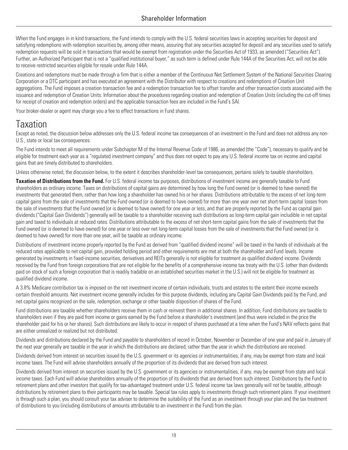When the Fund engages in in kind transactions, the Fund intends to comply with the U.S. federal securities laws in accepting securities for deposit and satisfying redemptions with redemption securities by, among other means, assuring that any securities accepted for deposit and any securities used to satisfy redemption requests will be sold in transactions that would be exempt from registration under the Securities Act of 1933, as amended ("Securities Act"). Further, an Authorized Participant that is not a "qualified institutional buyer," as such term is defined under Rule 144A of the Securities Act, will not be able to receive restricted securities eligible for resale under Rule 144A.

Creations and redemptions must be made through a firm that is either a member of the Continuous Net Settlement System of the National Securities Clearing Corporation or a DTC participant and has executed an agreement with the Distributor with respect to creations and redemptions of Creation Unit aggregations. The Fund imposes a creation transaction fee and a redemption transaction fee to offset transfer and other transaction costs associated with the issuance and redemption of Creation Units. Information about the procedures regarding creation and redemption of Creation Units (including the cut-off times for receipt of creation and redemption orders) and the applicable transaction fees are included in the Fund's SAI.

Your broker-dealer or agent may charge you a fee to effect transactions in Fund shares.

### <span id="page-20-0"></span>Taxation

Except as noted, the discussion below addresses only the U.S. federal income tax consequences of an investment in the Fund and does not address any non-U.S., state or local tax consequences.

The Fund intends to meet all requirements under Subchapter M of the Internal Revenue Code of 1986, as amended (the "Code"), necessary to qualify and be eligible for treatment each year as a "regulated investment company" and thus does not expect to pay any U.S. federal income tax on income and capital gains that are timely distributed to shareholders.

Unless otherwise noted, the discussion below, to the extent it describes shareholder-level tax consequences, pertains solely to taxable shareholders.

**Taxation of Distributions from the Fund.** For U.S. federal income tax purposes, distributions of investment income are generally taxable to Fund shareholders as ordinary income. Taxes on distributions of capital gains are determined by how long the Fund owned (or is deemed to have owned) the investments that generated them, rather than how long a shareholder has owned his or her shares. Distributions attributable to the excess of net long-term capital gains from the sale of investments that the Fund owned (or is deemed to have owned) for more than one year over net short-term capital losses from the sale of investments that the Fund owned (or is deemed to have owned) for one year or less, and that are properly reported by the Fund as capital gain dividends ("Capital Gain Dividends") generally will be taxable to a shareholder receiving such distributions as long-term capital gain includible in net capital gain and taxed to individuals at reduced rates. Distributions attributable to the excess of net short-term capital gains from the sale of investments that the Fund owned (or is deemed to have owned) for one year or less over net long-term capital losses from the sale of investments that the Fund owned (or is deemed to have owned) for more than one year, will be taxable as ordinary income.

Distributions of investment income properly reported by the Fund as derived from "qualified dividend income" will be taxed in the hands of individuals at the reduced rates applicable to net capital gain, provided holding period and other requirements are met at both the shareholder and Fund levels. Income generated by investments in fixed-income securities, derivatives and REITs generally is not eligible for treatment as qualified dividend income. Dividends received by the Fund from foreign corporations that are not eligible for the benefits of a comprehensive income tax treaty with the U.S. (other than dividends paid on stock of such a foreign corporation that is readily tradable on an established securities market in the U.S.) will not be eligible for treatment as qualified dividend income.

A 3.8% Medicare contribution tax is imposed on the net investment income of certain individuals, trusts and estates to the extent their income exceeds certain threshold amounts. Net investment income generally includes for this purpose dividends, including any Capital Gain Dividends paid by the Fund, and net capital gains recognized on the sale, redemption, exchange or other taxable disposition of shares of the Fund.

Fund distributions are taxable whether shareholders receive them in cash or reinvest them in additional shares. In addition, Fund distributions are taxable to shareholders even if they are paid from income or gains earned by the Fund before a shareholder's investment (and thus were included in the price the shareholder paid for his or her shares). Such distributions are likely to occur in respect of shares purchased at a time when the Fund's NAV reflects gains that are either unrealized or realized but not distributed.

Dividends and distributions declared by the Fund and payable to shareholders of record in October, November or December of one year and paid in January of the next year generally are taxable in the year in which the distributions are declared, rather than the year in which the distributions are received.

Dividends derived from interest on securities issued by the U.S. government or its agencies or instrumentalities, if any, may be exempt from state and local income taxes. The Fund will advise shareholders annually of the proportion of its dividends that are derived from such interest.

Dividends derived from interest on securities issued by the U.S. government or its agencies or instrumentalities, if any, may be exempt from state and local income taxes. Each Fund will advise shareholders annually of the proportion of its dividends that are derived from such interest. Distributions by the Fund to retirement plans and other investors that qualify for tax-advantaged treatment under U.S. federal income tax laws generally will not be taxable, although distributions by retirement plans to their participants may be taxable. Special tax rules apply to investments through such retirement plans. If your investment is through such a plan, you should consult your tax adviser to determine the suitability of the Fund as an investment through your plan and the tax treatment of distributions to you (including distributions of amounts attributable to an investment in the Fund) from the plan.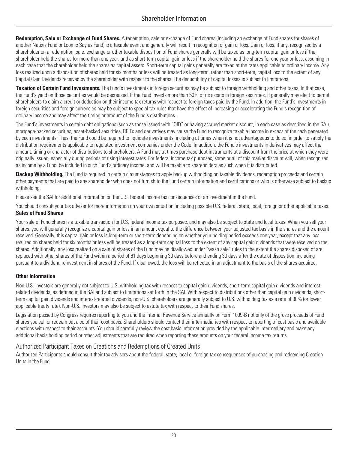**Redemption, Sale or Exchange of Fund Shares.** A redemption, sale or exchange of Fund shares (including an exchange of Fund shares for shares of another Natixis Fund or Loomis Sayles Fund) is a taxable event and generally will result in recognition of gain or loss. Gain or loss, if any, recognized by a shareholder on a redemption, sale, exchange or other taxable disposition of Fund shares generally will be taxed as long-term capital gain or loss if the shareholder held the shares for more than one year, and as short-term capital gain or loss if the shareholder held the shares for one year or less, assuming in each case that the shareholder held the shares as capital assets. Short-term capital gains generally are taxed at the rates applicable to ordinary income. Any loss realized upon a disposition of shares held for six months or less will be treated as long-term, rather than short-term, capital loss to the extent of any Capital Gain Dividends received by the shareholder with respect to the shares. The deductibility of capital losses is subject to limitations.

**Taxation of Certain Fund Investments.** The Fund's investments in foreign securities may be subject to foreign withholding and other taxes. In that case, the Fund's yield on those securities would be decreased. If the Fund invests more than 50% of its assets in foreign securities, it generally may elect to permit shareholders to claim a credit or deduction on their income tax returns with respect to foreign taxes paid by the Fund. In addition, the Fund's investments in foreign securities and foreign currencies may be subject to special tax rules that have the effect of increasing or accelerating the Fund's recognition of ordinary income and may affect the timing or amount of the Fund's distributions.

The Fund's investments in certain debt obligations (such as those issued with "OID" or having accrued market discount, in each case as described in the SAI), mortgage-backed securities, asset-backed securities, REITs and derivatives may cause the Fund to recognize taxable income in excess of the cash generated by such investments. Thus, the Fund could be required to liquidate investments, including at times when it is not advantageous to do so, in order to satisfy the distribution requirements applicable to regulated investment companies under the Code. In addition, the Fund's investments in derivatives may affect the amount, timing or character of distributions to shareholders. A Fund may at times purchase debt instruments at a discount from the price at which they were originally issued, especially during periods of rising interest rates. For federal income tax purposes, some or all of this market discount will, when recognized as income by a Fund, be included in such Fund's ordinary income, and will be taxable to shareholders as such when it is distributed.

**Backup Withholding.** The Fund is required in certain circumstances to apply backup withholding on taxable dividends, redemption proceeds and certain other payments that are paid to any shareholder who does not furnish to the Fund certain information and certifications or who is otherwise subject to backup withholding.

Please see the SAI for additional information on the U.S. federal income tax consequences of an investment in the Fund.

You should consult your tax adviser for more information on your own situation, including possible U.S. federal, state, local, foreign or other applicable taxes. **Sales of Fund Shares**

Your sale of Fund shares is a taxable transaction for U.S. federal income tax purposes, and may also be subject to state and local taxes. When you sell your shares, you will generally recognize a capital gain or loss in an amount equal to the difference between your adjusted tax basis in the shares and the amount received. Generally, this capital gain or loss is long-term or short-term depending on whether your holding period exceeds one year, except that any loss realized on shares held for six months or less will be treated as a long-term capital loss to the extent of any capital gain dividends that were received on the shares. Additionally, any loss realized on a sale of shares of the Fund may be disallowed under "wash sale" rules to the extent the shares disposed of are replaced with other shares of the Fund within a period of 61 days beginning 30 days before and ending 30 days after the date of disposition, including pursuant to a dividend reinvestment in shares of the Fund. If disallowed, the loss will be reflected in an adjustment to the basis of the shares acquired.

#### **Other Information**

Non-U.S. investors are generally not subject to U.S. withholding tax with respect to capital gain dividends, short-term capital gain dividends and interestrelated dividends, as defined in the SAI and subject to limitations set forth in the SAI. With respect to distributions other than capital gain dividends, shortterm capital gain dividends and interest-related dividends, non-U.S. shareholders are generally subject to U.S. withholding tax as a rate of 30% (or lower applicable treaty rate). Non-U.S. investors may also be subject to estate tax with respect to their Fund shares.

Legislation passed by Congress requires reporting to you and the Internal Revenue Service annually on Form 1099-B not only of the gross proceeds of Fund shares you sell or redeem but also of their cost basis. Shareholders should contact their intermediaries with respect to reporting of cost basis and available elections with respect to their accounts. You should carefully review the cost basis information provided by the applicable intermediary and make any additional basis holding period or other adjustments that are required when reporting these amounts on your federal income tax returns.

#### Authorized Participant Taxes on Creations and Redemptions of Created Units

Authorized Participants should consult their tax advisors about the federal, state, local or foreign tax consequences of purchasing and redeeming Creation Units in the Fund.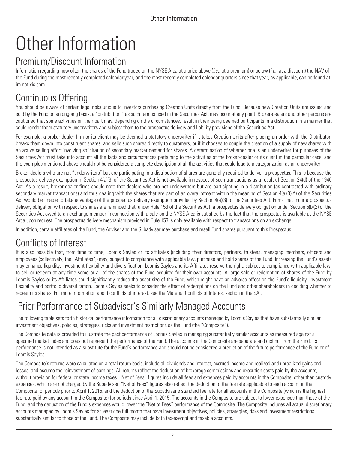# <span id="page-22-0"></span>Other Information

### Premium/Discount Information

Information regarding how often the shares of the Fund traded on the NYSE Arca at a price above (*i.e.*, at a premium) or below (*i.e.*, at a discount) the NAV of the Fund during the most recently completed calendar year, and the most recently completed calendar quarters since that year, as applicable, can be found at im.natixis.com.

### <span id="page-22-1"></span>Continuous Offering

You should be aware of certain legal risks unique to investors purchasing Creation Units directly from the Fund. Because new Creation Units are issued and sold by the Fund on an ongoing basis, a "distribution," as such term is used in the Securities Act, may occur at any point. Broker-dealers and other persons are cautioned that some activities on their part may, depending on the circumstances, result in their being deemed participants in a distribution in a manner that could render them statutory underwriters and subject them to the prospectus delivery and liability provisions of the Securities Act.

For example, a broker-dealer firm or its client may be deemed a statutory underwriter if it takes Creation Units after placing an order with the Distributor, breaks them down into constituent shares, and sells such shares directly to customers, or if it chooses to couple the creation of a supply of new shares with an active selling effort involving solicitation of secondary market demand for shares. A determination of whether one is an underwriter for purposes of the Securities Act must take into account all the facts and circumstances pertaining to the activities of the broker-dealer or its client in the particular case, and the examples mentioned above should not be considered a complete description of all the activities that could lead to a categorization as an underwriter.

Broker-dealers who are not "underwriters" but are participating in a distribution of shares are generally required to deliver a prospectus. This is because the prospectus delivery exemption in Section 4(a)(3) of the Securities Act is not available in respect of such transactions as a result of Section 24(d) of the 1940 Act. As a result, broker-dealer firms should note that dealers who are not underwriters but are participating in a distribution (as contrasted with ordinary secondary market transactions) and thus dealing with the shares that are part of an overallotment within the meaning of Section 4(a)(3)(A) of the Securities Act would be unable to take advantage of the prospectus delivery exemption provided by Section 4(a)(3) of the Securities Act. Firms that incur a prospectus delivery obligation with respect to shares are reminded that, under Rule 153 of the Securities Act, a prospectus delivery obligation under Section 5(b)(2) of the Securities Act owed to an exchange member in connection with a sale on the NYSE Arca is satisfied by the fact that the prospectus is available at the NYSE Arca upon request. The prospectus delivery mechanism provided in Rule 153 is only available with respect to transactions on an exchange.

In addition, certain affiliates of the Fund, the Adviser and the Subadviser may purchase and resell Fund shares pursuant to this Prospectus.

### <span id="page-22-2"></span>Conflicts of Interest

It is also possible that, from time to time, Loomis Sayles or its affiliates (including their directors, partners, trustees, managing members, officers and employees (collectively, the "Affiliates")) may, subject to compliance with applicable law, purchase and hold shares of the Fund. Increasing the Fund's assets may enhance liquidity, investment flexibility and diversification. Loomis Sayles and its Affiliates reserve the right, subject to compliance with applicable law, to sell or redeem at any time some or all of the shares of the Fund acquired for their own accounts. A large sale or redemption of shares of the Fund by Loomis Sayles or its Affiliates could significantly reduce the asset size of the Fund, which might have an adverse effect on the Fund's liquidity, investment flexibility and portfolio diversification. Loomis Sayles seeks to consider the effect of redemptions on the Fund and other shareholders in deciding whether to redeem its shares. For more information about conflicts of interest, see the Material Conflicts of Interest section in the SAI.

### <span id="page-22-3"></span>Prior Performance of Subadviser's Similarly Managed Accounts

The following table sets forth historical performance information for all discretionary accounts managed by Loomis Sayles that have substantially similar investment objectives, policies, strategies, risks and investment restrictions as the Fund (the "Composite").

The Composite data is provided to illustrate the past performance of Loomis Sayles in managing substantially similar accounts as measured against a specified market index and does not represent the performance of the Fund. The accounts in the Composite are separate and distinct from the Fund; its performance is not intended as a substitute for the Fund's performance and should not be considered a prediction of the future performance of the Fund or of Loomis Sayles.

The Composite's returns were calculated on a total return basis, include all dividends and interest, accrued income and realized and unrealized gains and losses, and assume the reinvestment of earnings. All returns reflect the deduction of brokerage commissions and execution costs paid by the accounts, without provision for federal or state income taxes. "Net of Fees" figures include all fees and expenses paid by accounts in the Composite, other than custody expenses, which are not charged by the Subadviser. "Net of Fees" figures also reflect the deduction of the fee rate applicable to each account in the Composite for periods prior to April 1, 2015, and the deduction of the Subadviser's standard fee rate for all accounts in the Composite (which is the highest fee rate paid by any account in the Composite) for periods since April 1, 2015. The accounts in the Composite are subject to lower expenses than those of the Fund, and the deduction of the Fund's expenses would lower the "Net of Fees" performance of the Composite. The Composite includes all actual discretionary accounts managed by Loomis Sayles for at least one full month that have investment objectives, policies, strategies, risks and investment restrictions substantially similar to those of the Fund. The Composite may include both tax-exempt and taxable accounts.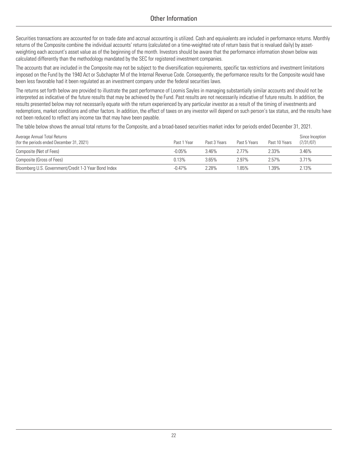Securities transactions are accounted for on trade date and accrual accounting is utilized. Cash and equivalents are included in performance returns. Monthly returns of the Composite combine the individual accounts' returns (calculated on a time-weighted rate of return basis that is revalued daily) by assetweighting each account's asset value as of the beginning of the month. Investors should be aware that the performance information shown below was calculated differently than the methodology mandated by the SEC for registered investment companies.

The accounts that are included in the Composite may not be subject to the diversification requirements, specific tax restrictions and investment limitations imposed on the Fund by the 1940 Act or Subchapter M of the Internal Revenue Code. Consequently, the performance results for the Composite would have been less favorable had it been regulated as an investment company under the federal securities laws.

The returns set forth below are provided to illustrate the past performance of Loomis Sayles in managing substantially similar accounts and should not be interpreted as indicative of the future results that may be achieved by the Fund. Past results are not necessarily indicative of future results. In addition, the results presented below may not necessarily equate with the return experienced by any particular investor as a result of the timing of investments and redemptions, market conditions and other factors. In addition, the effect of taxes on any investor will depend on such person's tax status, and the results have not been reduced to reflect any income tax that may have been payable.

The table below shows the annual total returns for the Composite, and a broad-based securities market index for periods ended December 31, 2021.

| Average Annual Total Returns<br>(for the periods ended December 31, 2021) | Past 1 Year | Past 3 Years | Past 5 Years | Past 10 Years | Since Inception<br>(7/31/07) |
|---------------------------------------------------------------------------|-------------|--------------|--------------|---------------|------------------------------|
| Composite (Net of Fees)                                                   | $-0.05\%$   | 3.46%        | 2.77%        | 2.33%         | 3.46%                        |
| Composite (Gross of Fees)                                                 | 0.13%       | 3.65%        | 2.97%        | 2.57%         | 3.71%                        |
| Bloomberg U.S. Government/Credit 1-3 Year Bond Index                      | $-0.47\%$   | 2.28%        | .85%         | 1.39%         | 2.13%                        |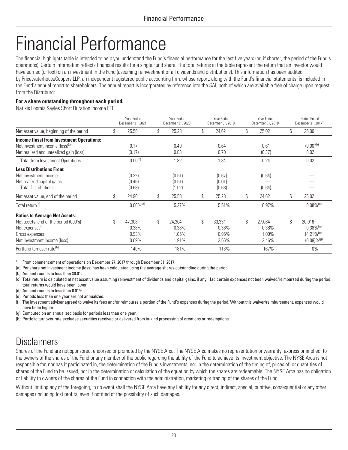## <span id="page-24-0"></span>Financial Performance

The financial highlights table is intended to help you understand the Fund's financial performance for the last five years (or, if shorter, the period of the Fund's operations). Certain information reflects financial results for a single Fund share. The total returns in the table represent the return that an investor would have earned (or lost) on an investment in the Fund (assuming reinvestment of all dividends and distributions). This information has been audited by PricewaterhouseCoopers LLP, an independent registered public accounting firm, whose report, along with the Fund's financial statements, is included in the Fund's annual report to shareholders. The annual report is incorporated by reference into the SAI, both of which are available free of charge upon request from the Distributor.

#### **For a share outstanding throughout each period.**

Natixis Loomis Sayles Short Duration Income ETF

|                                                  | Year Ended<br>December 31, 2021 | Year Ended<br>December 31, 2020 | Year Ended<br>December 31, 2019 | Year Ended<br>December 31, 2018 |     | Period Ended<br>December 31, 2017 |
|--------------------------------------------------|---------------------------------|---------------------------------|---------------------------------|---------------------------------|-----|-----------------------------------|
| Net asset value, beginning of the period         | \$<br>25.58                     | \$<br>25.28                     | \$<br>24.62                     | \$<br>25.02                     | \$. | 25.00                             |
| <b>Income (loss) from Investment Operations:</b> |                                 |                                 |                                 |                                 |     |                                   |
| Net investment income (loss) <sup>(a)</sup>      | 0.17                            | 0.49                            | 0.64                            | 0.61                            |     | $(0.00)^{(b)}$                    |
| Net realized and unrealized gain (loss)          | (0.17)                          | 0.83                            | 0.70                            | (0.37)                          |     | 0.02                              |
| <b>Total from Investment Operations</b>          | $0.00^{(b)}$                    | 1.32                            | 1.34                            | 0.24                            |     | 0.02                              |
| <b>Less Distributions From:</b>                  |                                 |                                 |                                 |                                 |     |                                   |
| Net investment income                            | (0.22)                          | (0.51)                          | (0.67)                          | (0.64)                          |     |                                   |
| Net realized capital gains                       | (0.46)                          | (0.51)                          | (0.01)                          |                                 |     |                                   |
| <b>Total Distributions</b>                       | (0.68)                          | (1.02)                          | (0.68)                          | (0.64)                          |     |                                   |
| Net asset value, end of the period               | \$<br>24.90                     | \$<br>25.58                     | \$<br>25.28                     | \$<br>24.62                     | \$  | 25.02                             |
| Total return <sup>(c)</sup>                      | $0.00\%$ <sup>(d)</sup>         | 5.27%                           | 5.51%                           | 0.97%                           |     | $0.08\%$ <sup>(e)</sup>           |
| <b>Ratios to Average Net Assets:</b>             |                                 |                                 |                                 |                                 |     |                                   |
| Net assets, end of the period (000's)            | \$<br>47,308                    | \$<br>24,304                    | \$<br>30,331                    | \$<br>27,084                    | \$  | 20,016                            |
| Net expenses <sup>(f)</sup>                      | 0.38%                           | 0.38%                           | 0.38%                           | 0.38%                           |     | $0.38\%$ <sup>(g)</sup>           |
| Gross expenses                                   | 0.93%                           | 1.05%                           | 0.95%                           | 1.09%                           |     | 14.21% <sup>(g)</sup>             |
| Net investment income (loss)                     | 0.69%                           | 1.91%                           | 2.56%                           | 2.46%                           |     | $(0.09) \%$ <sup>(g)</sup>        |
| Portfolio turnover rate <sup>(h)</sup>           | 140%                            | 181%                            | 113%                            | 167%                            |     | $0\%$                             |

\* From commencement of operations on December 27, 2017 through December 31, 2017.

(a) Per share net investment income (loss) has been calculated using the average shares outstanding during the period.

(b) Amount rounds to less than \$0.01.

(c) Total return is calculated at net asset value assuming reinvestment of dividends and capital gains, if any. Had certain expenses not been waived/reimbursed during the period, total returns would have been lower.

(d) Amount rounds to less than 0.01%.

(e) Periods less than one year are not annualized.

(f) The investment adviser agreed to waive its fees and/or reimburse a portion of the Fund's expenses during the period. Without this waiver/reimbursement, expenses would have been higher.

(g) Computed on an annualized basis for periods less than one year.

(h) Portfolio turnover rate excludes securities received or delivered from in-kind processing of creations or redemptions.

### **Disclaimers**

Shares of the Fund are not sponsored, endorsed or promoted by the NYSE Arca. The NYSE Arca makes no representation or warranty, express or implied, to the owners of the shares of the Fund or any member of the public regarding the ability of the Fund to achieve its investment objective. The NYSE Arca is not responsible for, nor has it participated in, the determination of the Fund's investments, nor in the determination of the timing of, prices of, or quantities of shares of the Fund to be issued, nor in the determination or calculation of the equation by which the shares are redeemable. The NYSE Arca has no obligation or liability to owners of the shares of the Fund in connection with the administration, marketing or trading of the shares of the Fund.

Without limiting any of the foregoing, in no event shall the NYSE Arca have any liability for any direct, indirect, special, punitive, consequential or any other damages (including lost profits) even if notified of the possibility of such damages.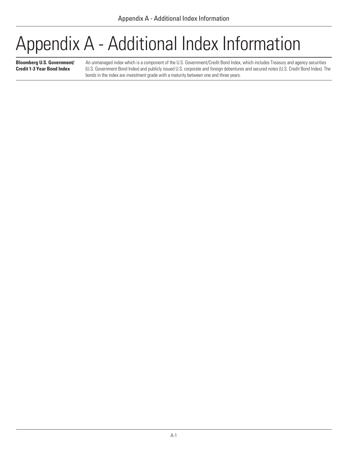## <span id="page-25-0"></span>Appendix A - Additional Index Information

**Bloomberg U.S. Government/ Credit 1-3 Year Bond Index**

An unmanaged index which is a component of the U.S. Government/Credit Bond Index, which includes Treasury and agency securities (U.S. Government Bond Index) and publicly issued U.S. corporate and foreign debentures and secured notes (U.S. Credit Bond Index). The bonds in the index are investment grade with a maturity between one and three years.